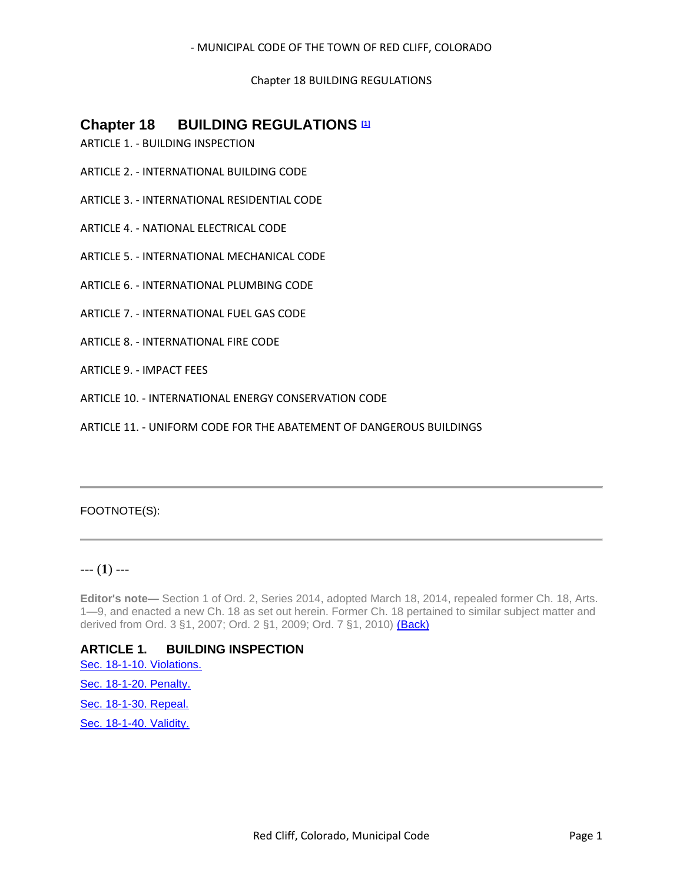Chapter 18 BUILDING REGULATIONS

# **Chapter 18 BUILDING REGULATIONS <b>III**

- ARTICLE 1. BUILDING INSPECTION
- ARTICLE 2. INTERNATIONAL BUILDING CODE
- ARTICLE 3. INTERNATIONAL RESIDENTIAL CODE
- ARTICLE 4. NATIONAL ELECTRICAL CODE
- ARTICLE 5. INTERNATIONAL MECHANICAL CODE
- ARTICLE 6. INTERNATIONAL PLUMBING CODE
- ARTICLE 7. INTERNATIONAL FUEL GAS CODE
- ARTICLE 8. INTERNATIONAL FIRE CODE
- ARTICLE 9. IMPACT FEES
- ARTICLE 10. INTERNATIONAL ENERGY CONSERVATION CODE
- ARTICLE 11. UNIFORM CODE FOR THE ABATEMENT OF DANGEROUS BUILDINGS

## FOOTNOTE(S):

## --- (**1**) ---

**Editor's note—** Section 1 of Ord. 2, Series 2014, adopted March 18, 2014, repealed former Ch. 18, Arts. 1—9, and enacted a new Ch. 18 as set out herein. Former Ch. 18 pertained to similar subject matter and derived from Ord. 3 §1, 2007; Ord. 2 §1, 2009; Ord. 7 §1, 2010) (Back)

## **ARTICLE 1. BUILDING INSPECTION**

[Sec. 18-1-10. Violations.](#page-1-0) [Sec. 18-1-20. Penalty.](#page-1-1)

[Sec. 18-1-30. Repeal.](#page-1-2)

[Sec. 18-1-40. Validity.](#page-1-3)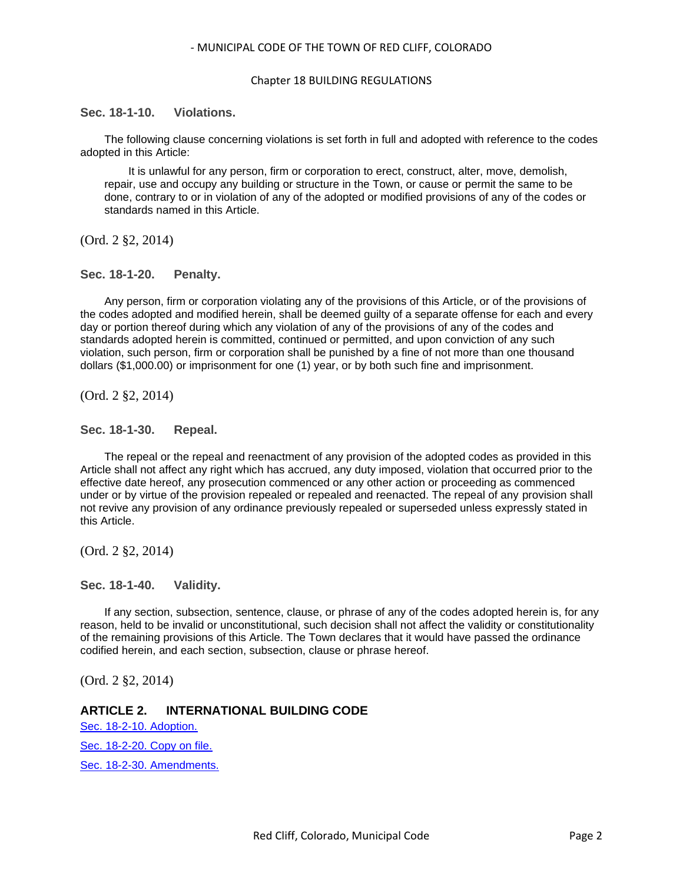#### Chapter 18 BUILDING REGULATIONS

### <span id="page-1-0"></span>**Sec. 18-1-10. Violations.**

The following clause concerning violations is set forth in full and adopted with reference to the codes adopted in this Article:

It is unlawful for any person, firm or corporation to erect, construct, alter, move, demolish, repair, use and occupy any building or structure in the Town, or cause or permit the same to be done, contrary to or in violation of any of the adopted or modified provisions of any of the codes or standards named in this Article.

(Ord. 2 §2, 2014)

### <span id="page-1-1"></span>**Sec. 18-1-20. Penalty.**

Any person, firm or corporation violating any of the provisions of this Article, or of the provisions of the codes adopted and modified herein, shall be deemed guilty of a separate offense for each and every day or portion thereof during which any violation of any of the provisions of any of the codes and standards adopted herein is committed, continued or permitted, and upon conviction of any such violation, such person, firm or corporation shall be punished by a fine of not more than one thousand dollars (\$1,000.00) or imprisonment for one (1) year, or by both such fine and imprisonment.

(Ord. 2 §2, 2014)

### <span id="page-1-2"></span>**Sec. 18-1-30. Repeal.**

The repeal or the repeal and reenactment of any provision of the adopted codes as provided in this Article shall not affect any right which has accrued, any duty imposed, violation that occurred prior to the effective date hereof, any prosecution commenced or any other action or proceeding as commenced under or by virtue of the provision repealed or repealed and reenacted. The repeal of any provision shall not revive any provision of any ordinance previously repealed or superseded unless expressly stated in this Article.

(Ord. 2 §2, 2014)

<span id="page-1-3"></span>**Sec. 18-1-40. Validity.**

If any section, subsection, sentence, clause, or phrase of any of the codes adopted herein is, for any reason, held to be invalid or unconstitutional, such decision shall not affect the validity or constitutionality of the remaining provisions of this Article. The Town declares that it would have passed the ordinance codified herein, and each section, subsection, clause or phrase hereof.

(Ord. 2 §2, 2014)

## **ARTICLE 2. INTERNATIONAL BUILDING CODE**

[Sec. 18-2-10. Adoption.](#page-2-0) [Sec. 18-2-20. Copy on file.](#page-2-1)

[Sec. 18-2-30. Amendments.](#page-2-2)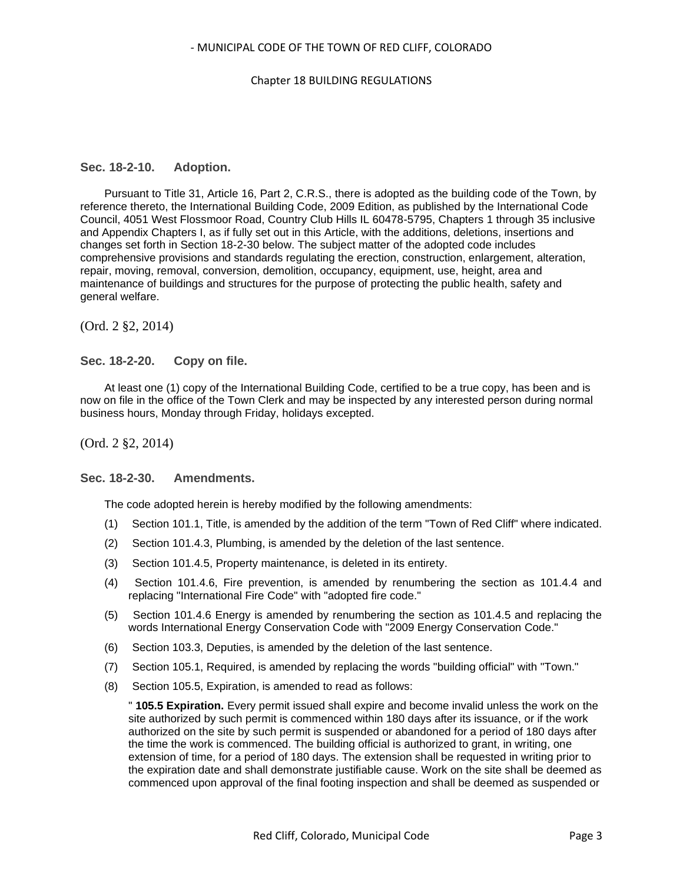#### Chapter 18 BUILDING REGULATIONS

#### <span id="page-2-0"></span>**Sec. 18-2-10. Adoption.**

Pursuant to Title 31, Article 16, Part 2, C.R.S., there is adopted as the building code of the Town, by reference thereto, the International Building Code, 2009 Edition, as published by the International Code Council, 4051 West Flossmoor Road, Country Club Hills IL 60478-5795, Chapters 1 through 35 inclusive and Appendix Chapters I, as if fully set out in this Article, with the additions, deletions, insertions and changes set forth in Section 18-2-30 below. The subject matter of the adopted code includes comprehensive provisions and standards regulating the erection, construction, enlargement, alteration, repair, moving, removal, conversion, demolition, occupancy, equipment, use, height, area and maintenance of buildings and structures for the purpose of protecting the public health, safety and general welfare.

(Ord. 2 §2, 2014)

<span id="page-2-1"></span>**Sec. 18-2-20. Copy on file.**

At least one (1) copy of the International Building Code, certified to be a true copy, has been and is now on file in the office of the Town Clerk and may be inspected by any interested person during normal business hours, Monday through Friday, holidays excepted.

(Ord. 2 §2, 2014)

### <span id="page-2-2"></span>**Sec. 18-2-30. Amendments.**

The code adopted herein is hereby modified by the following amendments:

- (1) Section 101.1, Title, is amended by the addition of the term "Town of Red Cliff" where indicated.
- (2) Section 101.4.3, Plumbing, is amended by the deletion of the last sentence.
- (3) Section 101.4.5, Property maintenance, is deleted in its entirety.
- (4) Section 101.4.6, Fire prevention, is amended by renumbering the section as 101.4.4 and replacing "International Fire Code" with "adopted fire code."
- (5) Section 101.4.6 Energy is amended by renumbering the section as 101.4.5 and replacing the words International Energy Conservation Code with "2009 Energy Conservation Code."
- (6) Section 103.3, Deputies, is amended by the deletion of the last sentence.
- (7) Section 105.1, Required, is amended by replacing the words "building official" with "Town."
- (8) Section 105.5, Expiration, is amended to read as follows:

" **105.5 Expiration.** Every permit issued shall expire and become invalid unless the work on the site authorized by such permit is commenced within 180 days after its issuance, or if the work authorized on the site by such permit is suspended or abandoned for a period of 180 days after the time the work is commenced. The building official is authorized to grant, in writing, one extension of time, for a period of 180 days. The extension shall be requested in writing prior to the expiration date and shall demonstrate justifiable cause. Work on the site shall be deemed as commenced upon approval of the final footing inspection and shall be deemed as suspended or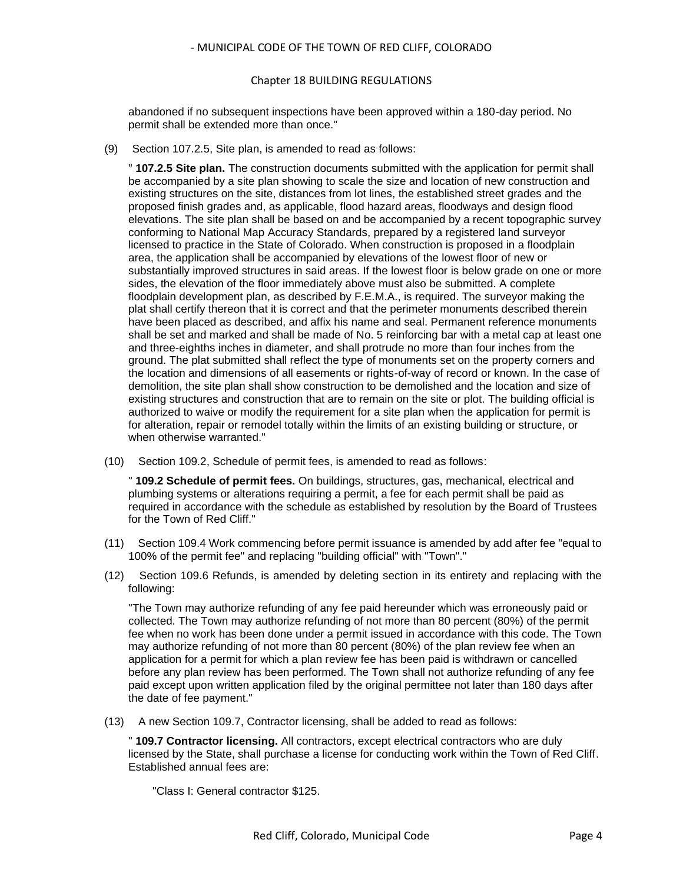#### Chapter 18 BUILDING REGULATIONS

abandoned if no subsequent inspections have been approved within a 180-day period. No permit shall be extended more than once."

(9) Section 107.2.5, Site plan, is amended to read as follows:

" **107.2.5 Site plan.** The construction documents submitted with the application for permit shall be accompanied by a site plan showing to scale the size and location of new construction and existing structures on the site, distances from lot lines, the established street grades and the proposed finish grades and, as applicable, flood hazard areas, floodways and design flood elevations. The site plan shall be based on and be accompanied by a recent topographic survey conforming to National Map Accuracy Standards, prepared by a registered land surveyor licensed to practice in the State of Colorado. When construction is proposed in a floodplain area, the application shall be accompanied by elevations of the lowest floor of new or substantially improved structures in said areas. If the lowest floor is below grade on one or more sides, the elevation of the floor immediately above must also be submitted. A complete floodplain development plan, as described by F.E.M.A., is required. The surveyor making the plat shall certify thereon that it is correct and that the perimeter monuments described therein have been placed as described, and affix his name and seal. Permanent reference monuments shall be set and marked and shall be made of No. 5 reinforcing bar with a metal cap at least one and three-eighths inches in diameter, and shall protrude no more than four inches from the ground. The plat submitted shall reflect the type of monuments set on the property corners and the location and dimensions of all easements or rights-of-way of record or known. In the case of demolition, the site plan shall show construction to be demolished and the location and size of existing structures and construction that are to remain on the site or plot. The building official is authorized to waive or modify the requirement for a site plan when the application for permit is for alteration, repair or remodel totally within the limits of an existing building or structure, or when otherwise warranted."

(10) Section 109.2, Schedule of permit fees, is amended to read as follows:

" **109.2 Schedule of permit fees.** On buildings, structures, gas, mechanical, electrical and plumbing systems or alterations requiring a permit, a fee for each permit shall be paid as required in accordance with the schedule as established by resolution by the Board of Trustees for the Town of Red Cliff."

- (11) Section 109.4 Work commencing before permit issuance is amended by add after fee "equal to 100% of the permit fee" and replacing "building official" with "Town"."
- (12) Section 109.6 Refunds, is amended by deleting section in its entirety and replacing with the following:

"The Town may authorize refunding of any fee paid hereunder which was erroneously paid or collected. The Town may authorize refunding of not more than 80 percent (80%) of the permit fee when no work has been done under a permit issued in accordance with this code. The Town may authorize refunding of not more than 80 percent (80%) of the plan review fee when an application for a permit for which a plan review fee has been paid is withdrawn or cancelled before any plan review has been performed. The Town shall not authorize refunding of any fee paid except upon written application filed by the original permittee not later than 180 days after the date of fee payment."

(13) A new Section 109.7, Contractor licensing, shall be added to read as follows:

" **109.7 Contractor licensing.** All contractors, except electrical contractors who are duly licensed by the State, shall purchase a license for conducting work within the Town of Red Cliff. Established annual fees are:

"Class I: General contractor \$125.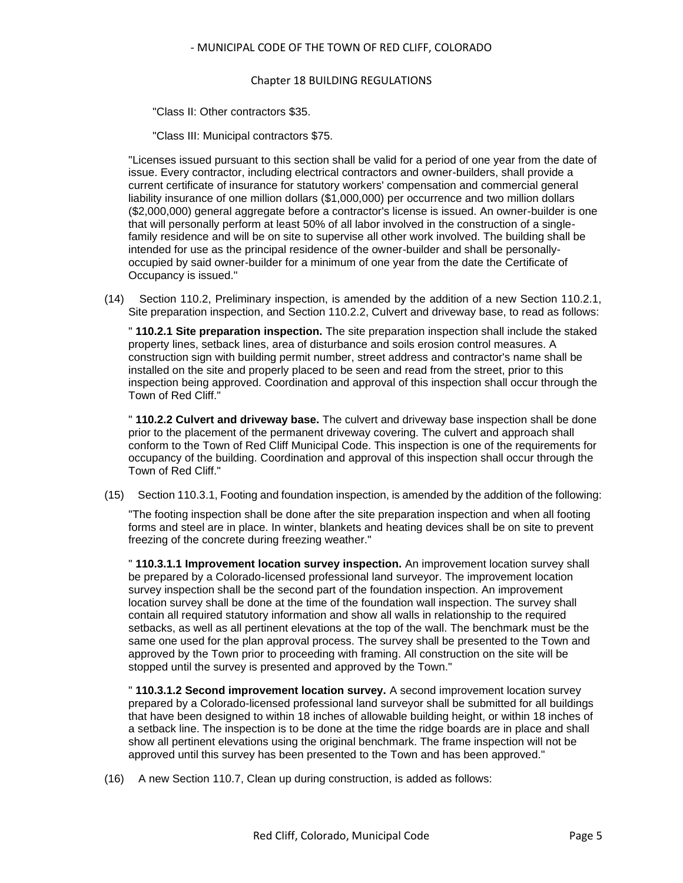#### Chapter 18 BUILDING REGULATIONS

"Class II: Other contractors \$35.

"Class III: Municipal contractors \$75.

"Licenses issued pursuant to this section shall be valid for a period of one year from the date of issue. Every contractor, including electrical contractors and owner-builders, shall provide a current certificate of insurance for statutory workers' compensation and commercial general liability insurance of one million dollars (\$1,000,000) per occurrence and two million dollars (\$2,000,000) general aggregate before a contractor's license is issued. An owner-builder is one that will personally perform at least 50% of all labor involved in the construction of a singlefamily residence and will be on site to supervise all other work involved. The building shall be intended for use as the principal residence of the owner-builder and shall be personallyoccupied by said owner-builder for a minimum of one year from the date the Certificate of Occupancy is issued."

(14) Section 110.2, Preliminary inspection, is amended by the addition of a new Section 110.2.1, Site preparation inspection, and Section 110.2.2, Culvert and driveway base, to read as follows:

" **110.2.1 Site preparation inspection.** The site preparation inspection shall include the staked property lines, setback lines, area of disturbance and soils erosion control measures. A construction sign with building permit number, street address and contractor's name shall be installed on the site and properly placed to be seen and read from the street, prior to this inspection being approved. Coordination and approval of this inspection shall occur through the Town of Red Cliff."

" **110.2.2 Culvert and driveway base.** The culvert and driveway base inspection shall be done prior to the placement of the permanent driveway covering. The culvert and approach shall conform to the Town of Red Cliff Municipal Code. This inspection is one of the requirements for occupancy of the building. Coordination and approval of this inspection shall occur through the Town of Red Cliff."

(15) Section 110.3.1, Footing and foundation inspection, is amended by the addition of the following:

"The footing inspection shall be done after the site preparation inspection and when all footing forms and steel are in place. In winter, blankets and heating devices shall be on site to prevent freezing of the concrete during freezing weather."

" **110.3.1.1 Improvement location survey inspection.** An improvement location survey shall be prepared by a Colorado-licensed professional land surveyor. The improvement location survey inspection shall be the second part of the foundation inspection. An improvement location survey shall be done at the time of the foundation wall inspection. The survey shall contain all required statutory information and show all walls in relationship to the required setbacks, as well as all pertinent elevations at the top of the wall. The benchmark must be the same one used for the plan approval process. The survey shall be presented to the Town and approved by the Town prior to proceeding with framing. All construction on the site will be stopped until the survey is presented and approved by the Town."

" **110.3.1.2 Second improvement location survey.** A second improvement location survey prepared by a Colorado-licensed professional land surveyor shall be submitted for all buildings that have been designed to within 18 inches of allowable building height, or within 18 inches of a setback line. The inspection is to be done at the time the ridge boards are in place and shall show all pertinent elevations using the original benchmark. The frame inspection will not be approved until this survey has been presented to the Town and has been approved."

(16) A new Section 110.7, Clean up during construction, is added as follows: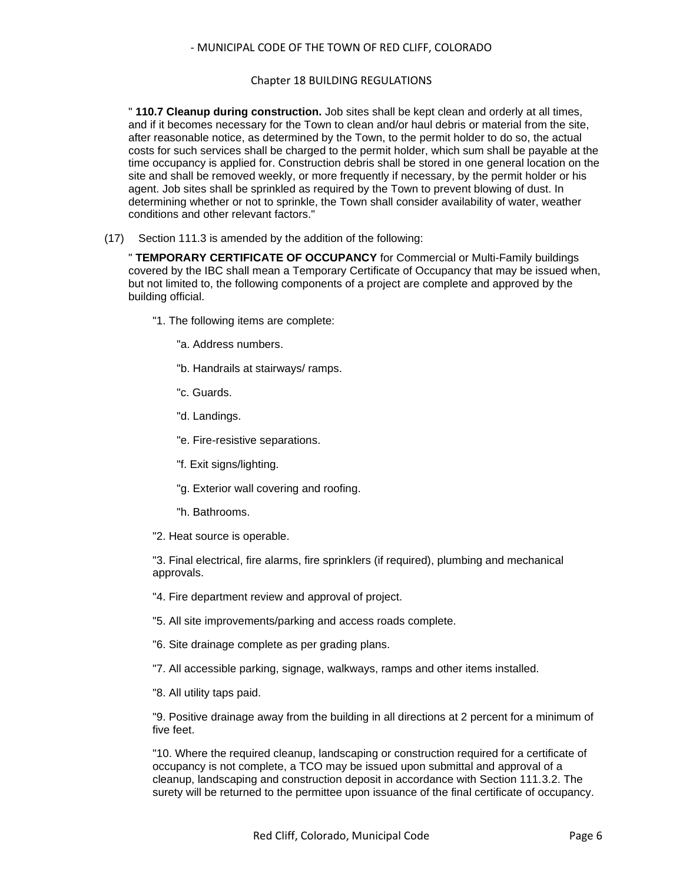#### Chapter 18 BUILDING REGULATIONS

" **110.7 Cleanup during construction.** Job sites shall be kept clean and orderly at all times, and if it becomes necessary for the Town to clean and/or haul debris or material from the site, after reasonable notice, as determined by the Town, to the permit holder to do so, the actual costs for such services shall be charged to the permit holder, which sum shall be payable at the time occupancy is applied for. Construction debris shall be stored in one general location on the site and shall be removed weekly, or more frequently if necessary, by the permit holder or his agent. Job sites shall be sprinkled as required by the Town to prevent blowing of dust. In determining whether or not to sprinkle, the Town shall consider availability of water, weather conditions and other relevant factors."

(17) Section 111.3 is amended by the addition of the following:

" **TEMPORARY CERTIFICATE OF OCCUPANCY** for Commercial or Multi-Family buildings covered by the IBC shall mean a Temporary Certificate of Occupancy that may be issued when, but not limited to, the following components of a project are complete and approved by the building official.

- "1. The following items are complete:
	- "a. Address numbers.
	- "b. Handrails at stairways/ ramps.
	- "c. Guards.
	- "d. Landings.
	- "e. Fire-resistive separations.
	- "f. Exit signs/lighting.
	- "g. Exterior wall covering and roofing.
	- "h. Bathrooms.
- "2. Heat source is operable.

"3. Final electrical, fire alarms, fire sprinklers (if required), plumbing and mechanical approvals.

- "4. Fire department review and approval of project.
- "5. All site improvements/parking and access roads complete.
- "6. Site drainage complete as per grading plans.
- "7. All accessible parking, signage, walkways, ramps and other items installed.
- "8. All utility taps paid.

"9. Positive drainage away from the building in all directions at 2 percent for a minimum of five feet.

"10. Where the required cleanup, landscaping or construction required for a certificate of occupancy is not complete, a TCO may be issued upon submittal and approval of a cleanup, landscaping and construction deposit in accordance with Section 111.3.2. The surety will be returned to the permittee upon issuance of the final certificate of occupancy.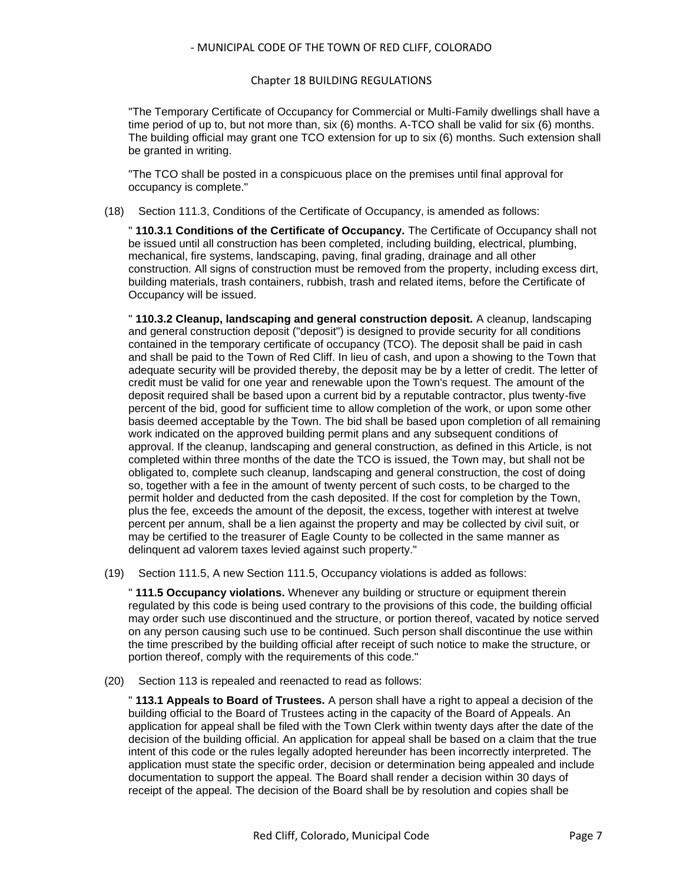### Chapter 18 BUILDING REGULATIONS

"The Temporary Certificate of Occupancy for Commercial or Multi-Family dwellings shall have a time period of up to, but not more than, six (6) months. A-TCO shall be valid for six (6) months. The building official may grant one TCO extension for up to six (6) months. Such extension shall be granted in writing.

"The TCO shall be posted in a conspicuous place on the premises until final approval for occupancy is complete."

(18) Section 111.3, Conditions of the Certificate of Occupancy, is amended as follows:

" **110.3.1 Conditions of the Certificate of Occupancy.** The Certificate of Occupancy shall not be issued until all construction has been completed, including building, electrical, plumbing, mechanical, fire systems, landscaping, paving, final grading, drainage and all other construction. All signs of construction must be removed from the property, including excess dirt, building materials, trash containers, rubbish, trash and related items, before the Certificate of Occupancy will be issued.

" **110.3.2 Cleanup, landscaping and general construction deposit.** A cleanup, landscaping and general construction deposit ("deposit") is designed to provide security for all conditions contained in the temporary certificate of occupancy (TCO). The deposit shall be paid in cash and shall be paid to the Town of Red Cliff. In lieu of cash, and upon a showing to the Town that adequate security will be provided thereby, the deposit may be by a letter of credit. The letter of credit must be valid for one year and renewable upon the Town's request. The amount of the deposit required shall be based upon a current bid by a reputable contractor, plus twenty-five percent of the bid, good for sufficient time to allow completion of the work, or upon some other basis deemed acceptable by the Town. The bid shall be based upon completion of all remaining work indicated on the approved building permit plans and any subsequent conditions of approval. If the cleanup, landscaping and general construction, as defined in this Article, is not completed within three months of the date the TCO is issued, the Town may, but shall not be obligated to, complete such cleanup, landscaping and general construction, the cost of doing so, together with a fee in the amount of twenty percent of such costs, to be charged to the permit holder and deducted from the cash deposited. If the cost for completion by the Town, plus the fee, exceeds the amount of the deposit, the excess, together with interest at twelve percent per annum, shall be a lien against the property and may be collected by civil suit, or may be certified to the treasurer of Eagle County to be collected in the same manner as delinquent ad valorem taxes levied against such property."

(19) Section 111.5, A new Section 111.5, Occupancy violations is added as follows:

" **111.5 Occupancy violations.** Whenever any building or structure or equipment therein regulated by this code is being used contrary to the provisions of this code, the building official may order such use discontinued and the structure, or portion thereof, vacated by notice served on any person causing such use to be continued. Such person shall discontinue the use within the time prescribed by the building official after receipt of such notice to make the structure, or portion thereof, comply with the requirements of this code."

(20) Section 113 is repealed and reenacted to read as follows:

" **113.1 Appeals to Board of Trustees.** A person shall have a right to appeal a decision of the building official to the Board of Trustees acting in the capacity of the Board of Appeals. An application for appeal shall be filed with the Town Clerk within twenty days after the date of the decision of the building official. An application for appeal shall be based on a claim that the true intent of this code or the rules legally adopted hereunder has been incorrectly interpreted. The application must state the specific order, decision or determination being appealed and include documentation to support the appeal. The Board shall render a decision within 30 days of receipt of the appeal. The decision of the Board shall be by resolution and copies shall be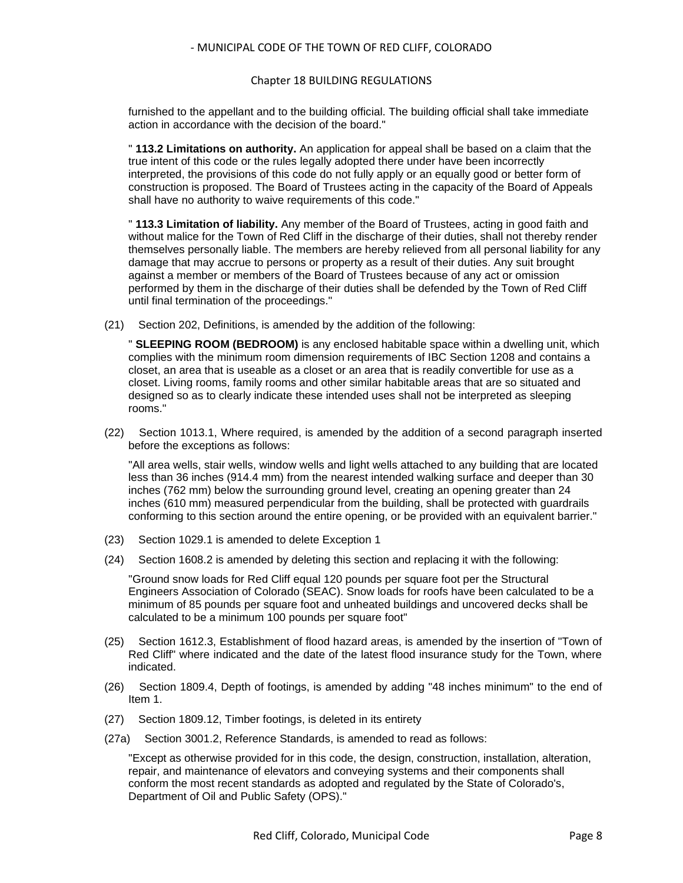#### Chapter 18 BUILDING REGULATIONS

furnished to the appellant and to the building official. The building official shall take immediate action in accordance with the decision of the board."

" **113.2 Limitations on authority.** An application for appeal shall be based on a claim that the true intent of this code or the rules legally adopted there under have been incorrectly interpreted, the provisions of this code do not fully apply or an equally good or better form of construction is proposed. The Board of Trustees acting in the capacity of the Board of Appeals shall have no authority to waive requirements of this code."

" **113.3 Limitation of liability.** Any member of the Board of Trustees, acting in good faith and without malice for the Town of Red Cliff in the discharge of their duties, shall not thereby render themselves personally liable. The members are hereby relieved from all personal liability for any damage that may accrue to persons or property as a result of their duties. Any suit brought against a member or members of the Board of Trustees because of any act or omission performed by them in the discharge of their duties shall be defended by the Town of Red Cliff until final termination of the proceedings."

(21) Section 202, Definitions, is amended by the addition of the following:

" **SLEEPING ROOM (BEDROOM)** is any enclosed habitable space within a dwelling unit, which complies with the minimum room dimension requirements of IBC Section 1208 and contains a closet, an area that is useable as a closet or an area that is readily convertible for use as a closet. Living rooms, family rooms and other similar habitable areas that are so situated and designed so as to clearly indicate these intended uses shall not be interpreted as sleeping rooms."

(22) Section 1013.1, Where required, is amended by the addition of a second paragraph inserted before the exceptions as follows:

"All area wells, stair wells, window wells and light wells attached to any building that are located less than 36 inches (914.4 mm) from the nearest intended walking surface and deeper than 30 inches (762 mm) below the surrounding ground level, creating an opening greater than 24 inches (610 mm) measured perpendicular from the building, shall be protected with guardrails conforming to this section around the entire opening, or be provided with an equivalent barrier."

- (23) Section 1029.1 is amended to delete Exception 1
- (24) Section 1608.2 is amended by deleting this section and replacing it with the following:

"Ground snow loads for Red Cliff equal 120 pounds per square foot per the Structural Engineers Association of Colorado (SEAC). Snow loads for roofs have been calculated to be a minimum of 85 pounds per square foot and unheated buildings and uncovered decks shall be calculated to be a minimum 100 pounds per square foot"

- (25) Section 1612.3, Establishment of flood hazard areas, is amended by the insertion of "Town of Red Cliff" where indicated and the date of the latest flood insurance study for the Town, where indicated.
- (26) Section 1809.4, Depth of footings, is amended by adding "48 inches minimum" to the end of Item 1.
- (27) Section 1809.12, Timber footings, is deleted in its entirety
- (27a) Section 3001.2, Reference Standards, is amended to read as follows:

"Except as otherwise provided for in this code, the design, construction, installation, alteration, repair, and maintenance of elevators and conveying systems and their components shall conform the most recent standards as adopted and regulated by the State of Colorado's, Department of Oil and Public Safety (OPS)."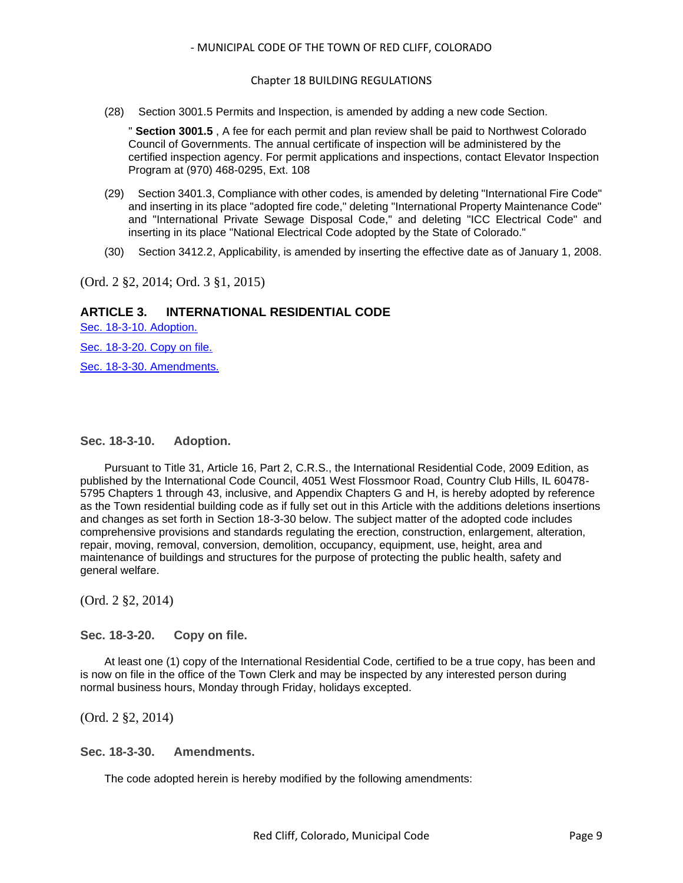#### Chapter 18 BUILDING REGULATIONS

(28) Section 3001.5 Permits and Inspection, is amended by adding a new code Section.

" **Section 3001.5** , A fee for each permit and plan review shall be paid to Northwest Colorado Council of Governments. The annual certificate of inspection will be administered by the certified inspection agency. For permit applications and inspections, contact Elevator Inspection Program at (970) 468-0295, Ext. 108

- (29) Section 3401.3, Compliance with other codes, is amended by deleting "International Fire Code" and inserting in its place "adopted fire code," deleting "International Property Maintenance Code" and "International Private Sewage Disposal Code," and deleting "ICC Electrical Code" and inserting in its place "National Electrical Code adopted by the State of Colorado."
- (30) Section 3412.2, Applicability, is amended by inserting the effective date as of January 1, 2008.

(Ord. 2 §2, 2014; Ord. 3 §1, 2015)

## **ARTICLE 3. INTERNATIONAL RESIDENTIAL CODE**

[Sec. 18-3-10. Adoption.](#page-8-0) [Sec. 18-3-20. Copy on file.](#page-8-1)

[Sec. 18-3-30. Amendments.](#page-8-2)

#### <span id="page-8-0"></span>**Sec. 18-3-10. Adoption.**

Pursuant to Title 31, Article 16, Part 2, C.R.S., the International Residential Code, 2009 Edition, as published by the International Code Council, 4051 West Flossmoor Road, Country Club Hills, IL 60478- 5795 Chapters 1 through 43, inclusive, and Appendix Chapters G and H, is hereby adopted by reference as the Town residential building code as if fully set out in this Article with the additions deletions insertions and changes as set forth in Section 18-3-30 below. The subject matter of the adopted code includes comprehensive provisions and standards regulating the erection, construction, enlargement, alteration, repair, moving, removal, conversion, demolition, occupancy, equipment, use, height, area and maintenance of buildings and structures for the purpose of protecting the public health, safety and general welfare.

(Ord. 2 §2, 2014)

<span id="page-8-1"></span>**Sec. 18-3-20. Copy on file.**

At least one (1) copy of the International Residential Code, certified to be a true copy, has been and is now on file in the office of the Town Clerk and may be inspected by any interested person during normal business hours, Monday through Friday, holidays excepted.

(Ord. 2 §2, 2014)

#### <span id="page-8-2"></span>**Sec. 18-3-30. Amendments.**

The code adopted herein is hereby modified by the following amendments: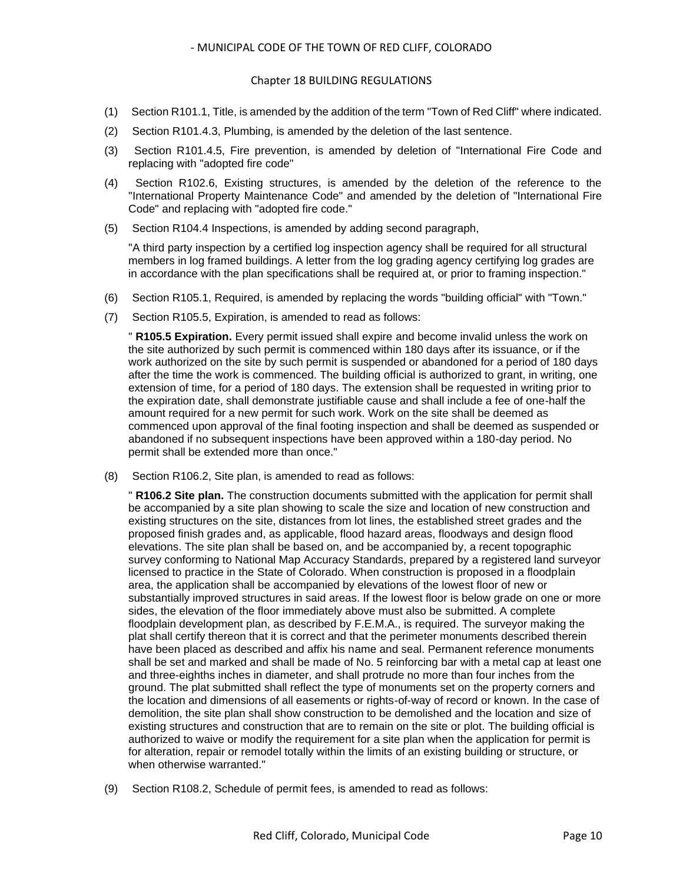#### Chapter 18 BUILDING REGULATIONS

- (1) Section R101.1, Title, is amended by the addition of the term "Town of Red Cliff" where indicated.
- (2) Section R101.4.3, Plumbing, is amended by the deletion of the last sentence.
- (3) Section R101.4.5, Fire prevention, is amended by deletion of "International Fire Code and replacing with "adopted fire code"
- (4) Section R102.6, Existing structures, is amended by the deletion of the reference to the "International Property Maintenance Code" and amended by the deletion of "International Fire Code" and replacing with "adopted fire code."
- (5) Section R104.4 Inspections, is amended by adding second paragraph,

"A third party inspection by a certified log inspection agency shall be required for all structural members in log framed buildings. A letter from the log grading agency certifying log grades are in accordance with the plan specifications shall be required at, or prior to framing inspection."

- (6) Section R105.1, Required, is amended by replacing the words "building official" with "Town."
- (7) Section R105.5, Expiration, is amended to read as follows:

" **R105.5 Expiration.** Every permit issued shall expire and become invalid unless the work on the site authorized by such permit is commenced within 180 days after its issuance, or if the work authorized on the site by such permit is suspended or abandoned for a period of 180 days after the time the work is commenced. The building official is authorized to grant, in writing, one extension of time, for a period of 180 days. The extension shall be requested in writing prior to the expiration date, shall demonstrate justifiable cause and shall include a fee of one-half the amount required for a new permit for such work. Work on the site shall be deemed as commenced upon approval of the final footing inspection and shall be deemed as suspended or abandoned if no subsequent inspections have been approved within a 180-day period. No permit shall be extended more than once."

(8) Section R106.2, Site plan, is amended to read as follows:

" **R106.2 Site plan.** The construction documents submitted with the application for permit shall be accompanied by a site plan showing to scale the size and location of new construction and existing structures on the site, distances from lot lines, the established street grades and the proposed finish grades and, as applicable, flood hazard areas, floodways and design flood elevations. The site plan shall be based on, and be accompanied by, a recent topographic survey conforming to National Map Accuracy Standards, prepared by a registered land surveyor licensed to practice in the State of Colorado. When construction is proposed in a floodplain area, the application shall be accompanied by elevations of the lowest floor of new or substantially improved structures in said areas. If the lowest floor is below grade on one or more sides, the elevation of the floor immediately above must also be submitted. A complete floodplain development plan, as described by F.E.M.A., is required. The surveyor making the plat shall certify thereon that it is correct and that the perimeter monuments described therein have been placed as described and affix his name and seal. Permanent reference monuments shall be set and marked and shall be made of No. 5 reinforcing bar with a metal cap at least one and three-eighths inches in diameter, and shall protrude no more than four inches from the ground. The plat submitted shall reflect the type of monuments set on the property corners and the location and dimensions of all easements or rights-of-way of record or known. In the case of demolition, the site plan shall show construction to be demolished and the location and size of existing structures and construction that are to remain on the site or plot. The building official is authorized to waive or modify the requirement for a site plan when the application for permit is for alteration, repair or remodel totally within the limits of an existing building or structure, or when otherwise warranted."

(9) Section R108.2, Schedule of permit fees, is amended to read as follows: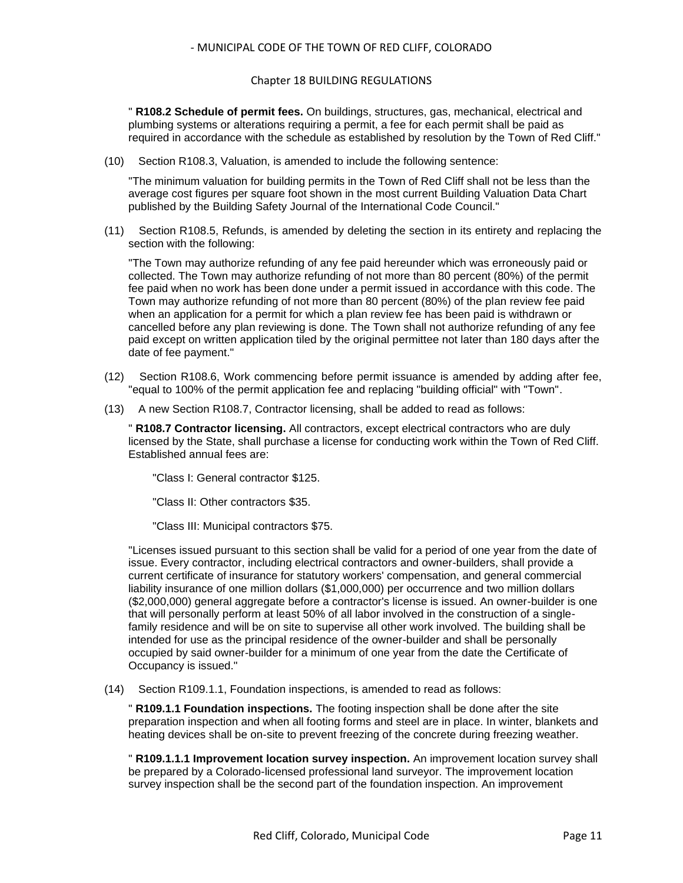#### Chapter 18 BUILDING REGULATIONS

" **R108.2 Schedule of permit fees.** On buildings, structures, gas, mechanical, electrical and plumbing systems or alterations requiring a permit, a fee for each permit shall be paid as required in accordance with the schedule as established by resolution by the Town of Red Cliff."

(10) Section R108.3, Valuation, is amended to include the following sentence:

"The minimum valuation for building permits in the Town of Red Cliff shall not be less than the average cost figures per square foot shown in the most current Building Valuation Data Chart published by the Building Safety Journal of the International Code Council."

(11) Section R108.5, Refunds, is amended by deleting the section in its entirety and replacing the section with the following:

"The Town may authorize refunding of any fee paid hereunder which was erroneously paid or collected. The Town may authorize refunding of not more than 80 percent (80%) of the permit fee paid when no work has been done under a permit issued in accordance with this code. The Town may authorize refunding of not more than 80 percent (80%) of the plan review fee paid when an application for a permit for which a plan review fee has been paid is withdrawn or cancelled before any plan reviewing is done. The Town shall not authorize refunding of any fee paid except on written application tiled by the original permittee not later than 180 days after the date of fee payment."

- (12) Section R108.6, Work commencing before permit issuance is amended by adding after fee, "equal to 100% of the permit application fee and replacing "building official" with "Town".
- (13) A new Section R108.7, Contractor licensing, shall be added to read as follows:

" **R108.7 Contractor licensing.** All contractors, except electrical contractors who are duly licensed by the State, shall purchase a license for conducting work within the Town of Red Cliff. Established annual fees are:

"Class I: General contractor \$125.

"Class II: Other contractors \$35.

"Class III: Municipal contractors \$75.

"Licenses issued pursuant to this section shall be valid for a period of one year from the date of issue. Every contractor, including electrical contractors and owner-builders, shall provide a current certificate of insurance for statutory workers' compensation, and general commercial liability insurance of one million dollars (\$1,000,000) per occurrence and two million dollars (\$2,000,000) general aggregate before a contractor's license is issued. An owner-builder is one that will personally perform at least 50% of all labor involved in the construction of a singlefamily residence and will be on site to supervise all other work involved. The building shall be intended for use as the principal residence of the owner-builder and shall be personally occupied by said owner-builder for a minimum of one year from the date the Certificate of Occupancy is issued."

(14) Section R109.1.1, Foundation inspections, is amended to read as follows:

" **R109.1.1 Foundation inspections.** The footing inspection shall be done after the site preparation inspection and when all footing forms and steel are in place. In winter, blankets and heating devices shall be on-site to prevent freezing of the concrete during freezing weather.

" **R109.1.1.1 Improvement location survey inspection.** An improvement location survey shall be prepared by a Colorado-licensed professional land surveyor. The improvement location survey inspection shall be the second part of the foundation inspection. An improvement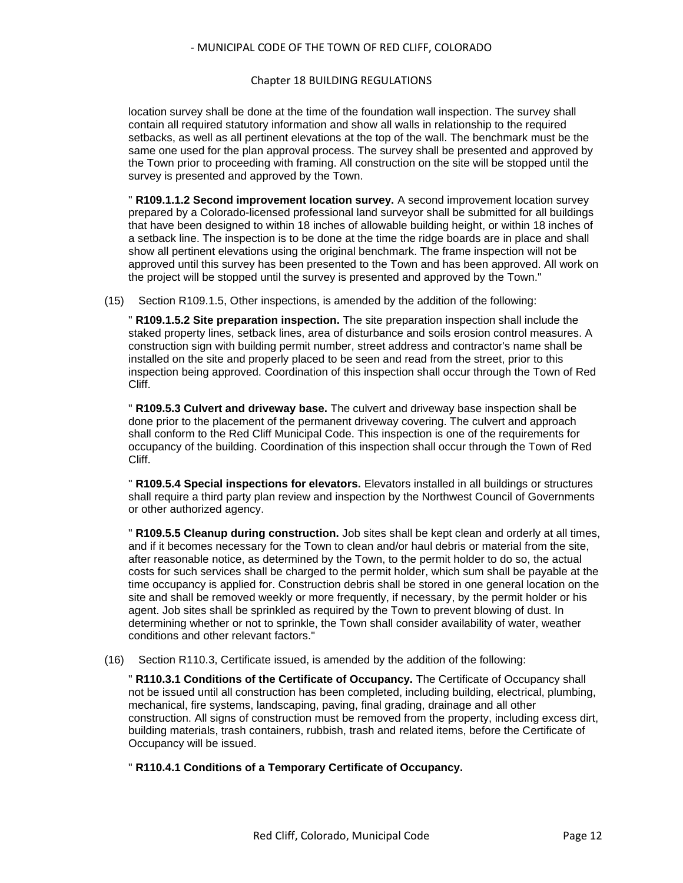#### Chapter 18 BUILDING REGULATIONS

location survey shall be done at the time of the foundation wall inspection. The survey shall contain all required statutory information and show all walls in relationship to the required setbacks, as well as all pertinent elevations at the top of the wall. The benchmark must be the same one used for the plan approval process. The survey shall be presented and approved by the Town prior to proceeding with framing. All construction on the site will be stopped until the survey is presented and approved by the Town.

" **R109.1.1.2 Second improvement location survey.** A second improvement location survey prepared by a Colorado-licensed professional land surveyor shall be submitted for all buildings that have been designed to within 18 inches of allowable building height, or within 18 inches of a setback line. The inspection is to be done at the time the ridge boards are in place and shall show all pertinent elevations using the original benchmark. The frame inspection will not be approved until this survey has been presented to the Town and has been approved. All work on the project will be stopped until the survey is presented and approved by the Town."

(15) Section R109.1.5, Other inspections, is amended by the addition of the following:

" **R109.1.5.2 Site preparation inspection.** The site preparation inspection shall include the staked property lines, setback lines, area of disturbance and soils erosion control measures. A construction sign with building permit number, street address and contractor's name shall be installed on the site and properly placed to be seen and read from the street, prior to this inspection being approved. Coordination of this inspection shall occur through the Town of Red Cliff.

" **R109.5.3 Culvert and driveway base.** The culvert and driveway base inspection shall be done prior to the placement of the permanent driveway covering. The culvert and approach shall conform to the Red Cliff Municipal Code. This inspection is one of the requirements for occupancy of the building. Coordination of this inspection shall occur through the Town of Red Cliff.

" **R109.5.4 Special inspections for elevators.** Elevators installed in all buildings or structures shall require a third party plan review and inspection by the Northwest Council of Governments or other authorized agency.

" **R109.5.5 Cleanup during construction.** Job sites shall be kept clean and orderly at all times, and if it becomes necessary for the Town to clean and/or haul debris or material from the site, after reasonable notice, as determined by the Town, to the permit holder to do so, the actual costs for such services shall be charged to the permit holder, which sum shall be payable at the time occupancy is applied for. Construction debris shall be stored in one general location on the site and shall be removed weekly or more frequently, if necessary, by the permit holder or his agent. Job sites shall be sprinkled as required by the Town to prevent blowing of dust. In determining whether or not to sprinkle, the Town shall consider availability of water, weather conditions and other relevant factors."

(16) Section R110.3, Certificate issued, is amended by the addition of the following:

" **R110.3.1 Conditions of the Certificate of Occupancy.** The Certificate of Occupancy shall not be issued until all construction has been completed, including building, electrical, plumbing, mechanical, fire systems, landscaping, paving, final grading, drainage and all other construction. All signs of construction must be removed from the property, including excess dirt, building materials, trash containers, rubbish, trash and related items, before the Certificate of Occupancy will be issued.

" **R110.4.1 Conditions of a Temporary Certificate of Occupancy.**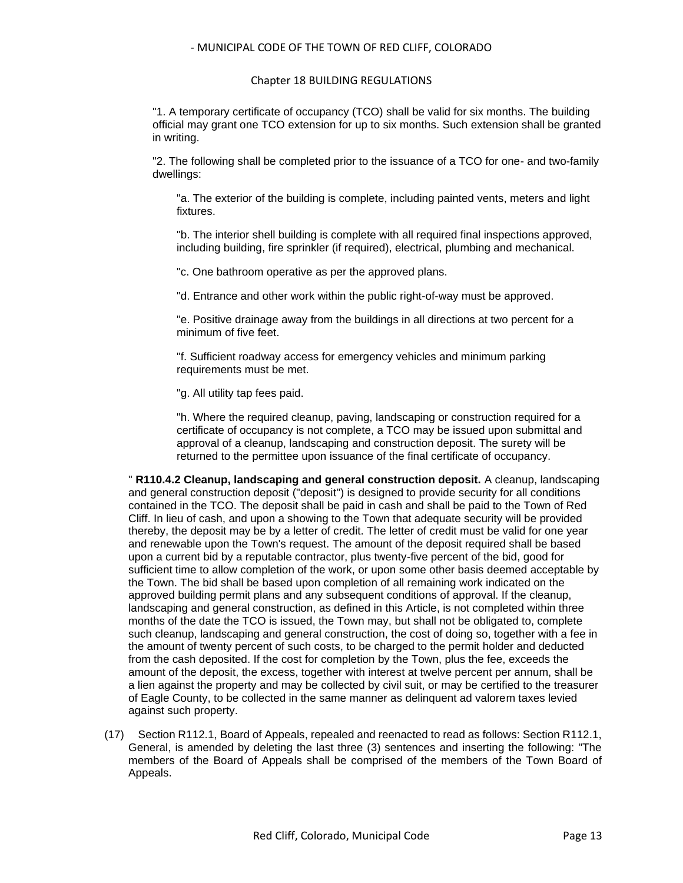#### Chapter 18 BUILDING REGULATIONS

"1. A temporary certificate of occupancy (TCO) shall be valid for six months. The building official may grant one TCO extension for up to six months. Such extension shall be granted in writing.

"2. The following shall be completed prior to the issuance of a TCO for one- and two-family dwellings:

"a. The exterior of the building is complete, including painted vents, meters and light fixtures.

"b. The interior shell building is complete with all required final inspections approved, including building, fire sprinkler (if required), electrical, plumbing and mechanical.

"c. One bathroom operative as per the approved plans.

"d. Entrance and other work within the public right-of-way must be approved.

"e. Positive drainage away from the buildings in all directions at two percent for a minimum of five feet.

"f. Sufficient roadway access for emergency vehicles and minimum parking requirements must be met.

"g. All utility tap fees paid.

"h. Where the required cleanup, paving, landscaping or construction required for a certificate of occupancy is not complete, a TCO may be issued upon submittal and approval of a cleanup, landscaping and construction deposit. The surety will be returned to the permittee upon issuance of the final certificate of occupancy.

" **R110.4.2 Cleanup, landscaping and general construction deposit.** A cleanup, landscaping and general construction deposit ("deposit") is designed to provide security for all conditions contained in the TCO. The deposit shall be paid in cash and shall be paid to the Town of Red Cliff. In lieu of cash, and upon a showing to the Town that adequate security will be provided thereby, the deposit may be by a letter of credit. The letter of credit must be valid for one year and renewable upon the Town's request. The amount of the deposit required shall be based upon a current bid by a reputable contractor, plus twenty-five percent of the bid, good for sufficient time to allow completion of the work, or upon some other basis deemed acceptable by the Town. The bid shall be based upon completion of all remaining work indicated on the approved building permit plans and any subsequent conditions of approval. If the cleanup, landscaping and general construction, as defined in this Article, is not completed within three months of the date the TCO is issued, the Town may, but shall not be obligated to, complete such cleanup, landscaping and general construction, the cost of doing so, together with a fee in the amount of twenty percent of such costs, to be charged to the permit holder and deducted from the cash deposited. If the cost for completion by the Town, plus the fee, exceeds the amount of the deposit, the excess, together with interest at twelve percent per annum, shall be a lien against the property and may be collected by civil suit, or may be certified to the treasurer of Eagle County, to be collected in the same manner as delinquent ad valorem taxes levied against such property.

(17) Section R112.1, Board of Appeals, repealed and reenacted to read as follows: Section R112.1, General, is amended by deleting the last three (3) sentences and inserting the following: "The members of the Board of Appeals shall be comprised of the members of the Town Board of Appeals.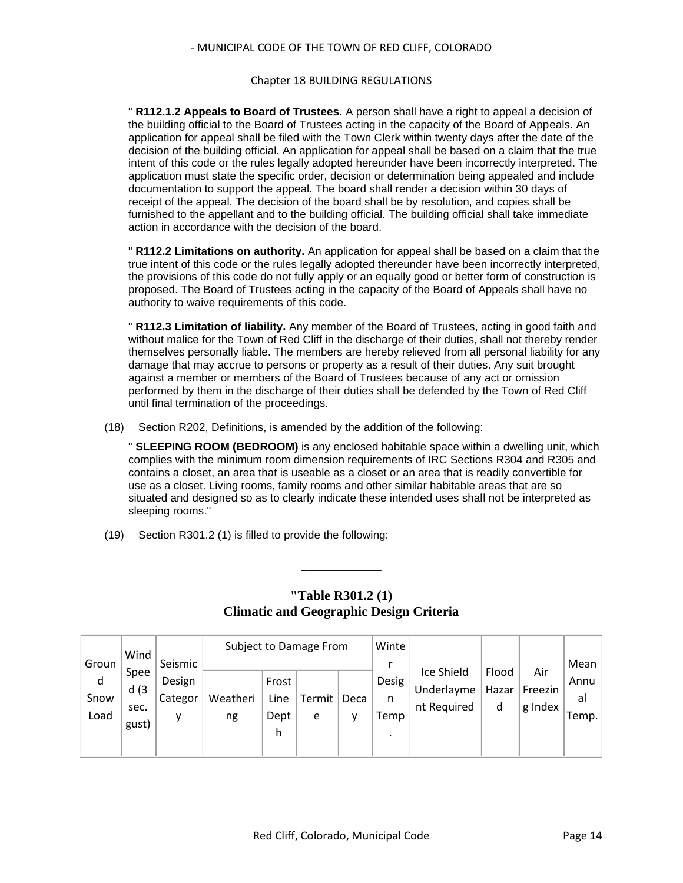#### Chapter 18 BUILDING REGULATIONS

" **R112.1.2 Appeals to Board of Trustees.** A person shall have a right to appeal a decision of the building official to the Board of Trustees acting in the capacity of the Board of Appeals. An application for appeal shall be filed with the Town Clerk within twenty days after the date of the decision of the building official. An application for appeal shall be based on a claim that the true intent of this code or the rules legally adopted hereunder have been incorrectly interpreted. The application must state the specific order, decision or determination being appealed and include documentation to support the appeal. The board shall render a decision within 30 days of receipt of the appeal. The decision of the board shall be by resolution, and copies shall be furnished to the appellant and to the building official. The building official shall take immediate action in accordance with the decision of the board.

" **R112.2 Limitations on authority.** An application for appeal shall be based on a claim that the true intent of this code or the rules legally adopted thereunder have been incorrectly interpreted, the provisions of this code do not fully apply or an equally good or better form of construction is proposed. The Board of Trustees acting in the capacity of the Board of Appeals shall have no authority to waive requirements of this code.

" **R112.3 Limitation of liability.** Any member of the Board of Trustees, acting in good faith and without malice for the Town of Red Cliff in the discharge of their duties, shall not thereby render themselves personally liable. The members are hereby relieved from all personal liability for any damage that may accrue to persons or property as a result of their duties. Any suit brought against a member or members of the Board of Trustees because of any act or omission performed by them in the discharge of their duties shall be defended by the Town of Red Cliff until final termination of the proceedings.

(18) Section R202, Definitions, is amended by the addition of the following:

" **SLEEPING ROOM (BEDROOM)** is any enclosed habitable space within a dwelling unit, which complies with the minimum room dimension requirements of IRC Sections R304 and R305 and contains a closet, an area that is useable as a closet or an area that is readily convertible for use as a closet. Living rooms, family rooms and other similar habitable areas that are so situated and designed so as to clearly indicate these intended uses shall not be interpreted as sleeping rooms."

(19) Section R301.2 (1) is filled to provide the following:

|       | Wind  | Subject to Damage From |          |       |        |      | Winte |             |       |         |       |
|-------|-------|------------------------|----------|-------|--------|------|-------|-------------|-------|---------|-------|
| Groun |       | Seismic                |          |       |        |      |       |             |       |         | Mean  |
| d     | Spee  | Design                 |          | Frost |        |      | Desig | Ice Shield  | Flood | Air     | Annu  |
| Snow  | d(3)  | Categor                | Weatheri | Line  | Termit | Deca | n     | Underlayme  | Hazar | Freezin | al    |
| Load  | sec.  | v                      | ng       | Dept  | e      |      | Temp  | nt Required | d     | g Index | Temp. |
|       | gust) |                        |          | h     |        |      |       |             |       |         |       |
|       |       |                        |          |       |        |      |       |             |       |         |       |

## **"Table R301.2 (1) Climatic and Geographic Design Criteria**

\_\_\_\_\_\_\_\_\_\_\_\_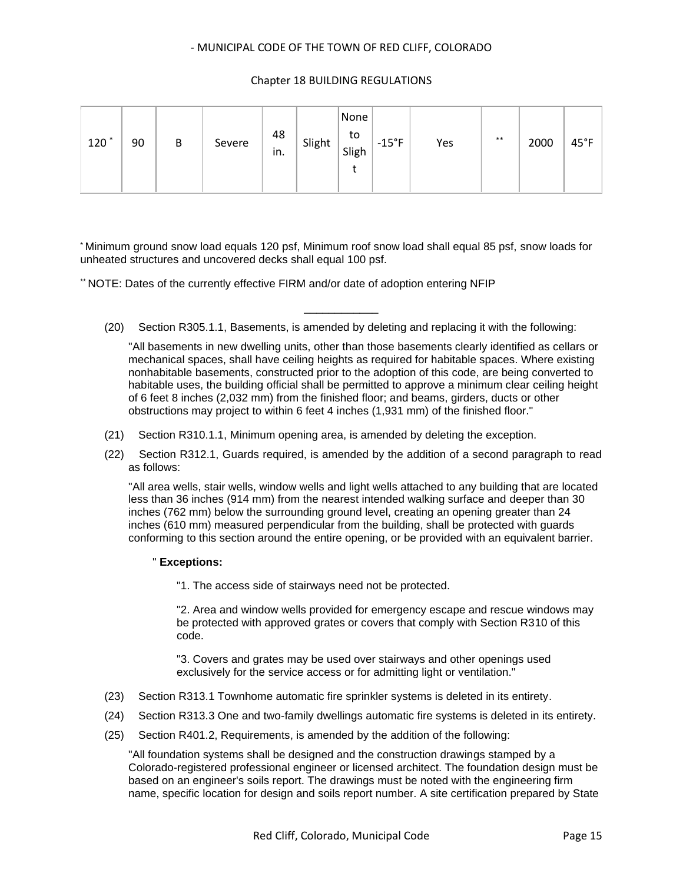### Chapter 18 BUILDING REGULATIONS

| $120^*$ | 90 | В | Severe | 48<br>ın. | Slight | None<br>to<br>Sligh | $-15^{\circ}F$ | Yes | $***$ | 2000 | $45^{\circ}$ F |
|---------|----|---|--------|-----------|--------|---------------------|----------------|-----|-------|------|----------------|
|---------|----|---|--------|-----------|--------|---------------------|----------------|-----|-------|------|----------------|

\* Minimum ground snow load equals 120 psf, Minimum roof snow load shall equal 85 psf, snow loads for unheated structures and uncovered decks shall equal 100 psf.

\*\* NOTE: Dates of the currently effective FIRM and/or date of adoption entering NFIP

\_\_\_\_\_\_\_\_\_\_\_\_ (20) Section R305.1.1, Basements, is amended by deleting and replacing it with the following:

"All basements in new dwelling units, other than those basements clearly identified as cellars or mechanical spaces, shall have ceiling heights as required for habitable spaces. Where existing nonhabitable basements, constructed prior to the adoption of this code, are being converted to habitable uses, the building official shall be permitted to approve a minimum clear ceiling height of 6 feet 8 inches (2,032 mm) from the finished floor; and beams, girders, ducts or other obstructions may project to within 6 feet 4 inches (1,931 mm) of the finished floor."

- (21) Section R310.1.1, Minimum opening area, is amended by deleting the exception.
- (22) Section R312.1, Guards required, is amended by the addition of a second paragraph to read as follows:

"All area wells, stair wells, window wells and light wells attached to any building that are located less than 36 inches (914 mm) from the nearest intended walking surface and deeper than 30 inches (762 mm) below the surrounding ground level, creating an opening greater than 24 inches (610 mm) measured perpendicular from the building, shall be protected with guards conforming to this section around the entire opening, or be provided with an equivalent barrier.

#### " **Exceptions:**

"1. The access side of stairways need not be protected.

"2. Area and window wells provided for emergency escape and rescue windows may be protected with approved grates or covers that comply with Section R310 of this code.

"3. Covers and grates may be used over stairways and other openings used exclusively for the service access or for admitting light or ventilation."

- (23) Section R313.1 Townhome automatic fire sprinkler systems is deleted in its entirety.
- (24) Section R313.3 One and two-family dwellings automatic fire systems is deleted in its entirety.
- (25) Section R401.2, Requirements, is amended by the addition of the following:

"All foundation systems shall be designed and the construction drawings stamped by a Colorado-registered professional engineer or licensed architect. The foundation design must be based on an engineer's soils report. The drawings must be noted with the engineering firm name, specific location for design and soils report number. A site certification prepared by State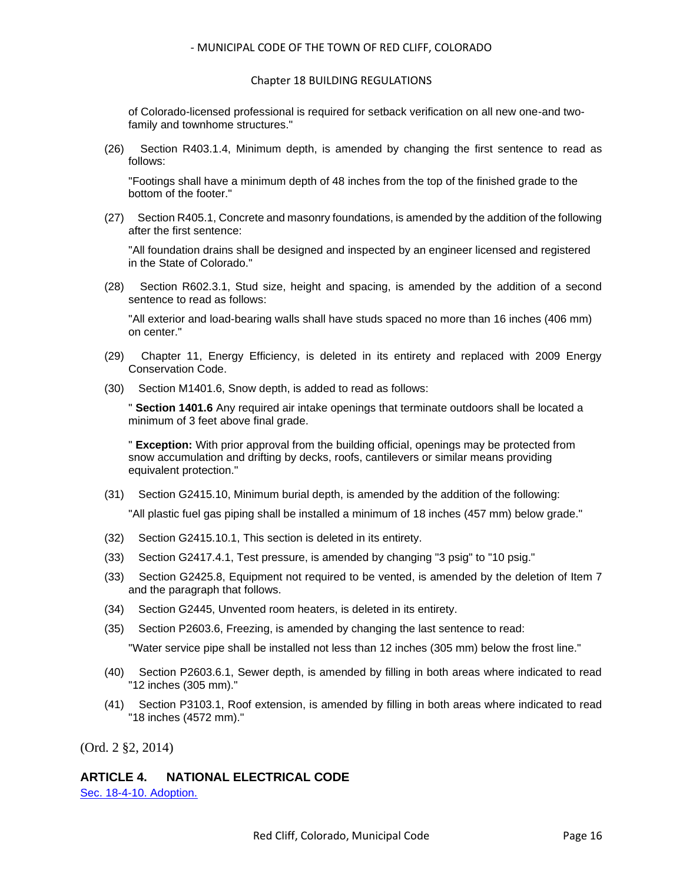#### Chapter 18 BUILDING REGULATIONS

of Colorado-licensed professional is required for setback verification on all new one-and twofamily and townhome structures."

(26) Section R403.1.4, Minimum depth, is amended by changing the first sentence to read as follows:

"Footings shall have a minimum depth of 48 inches from the top of the finished grade to the bottom of the footer."

(27) Section R405.1, Concrete and masonry foundations, is amended by the addition of the following after the first sentence:

"All foundation drains shall be designed and inspected by an engineer licensed and registered in the State of Colorado."

(28) Section R602.3.1, Stud size, height and spacing, is amended by the addition of a second sentence to read as follows:

"All exterior and load-bearing walls shall have studs spaced no more than 16 inches (406 mm) on center."

- (29) Chapter 11, Energy Efficiency, is deleted in its entirety and replaced with 2009 Energy Conservation Code.
- (30) Section M1401.6, Snow depth, is added to read as follows:

" **Section 1401.6** Any required air intake openings that terminate outdoors shall be located a minimum of 3 feet above final grade.

" **Exception:** With prior approval from the building official, openings may be protected from snow accumulation and drifting by decks, roofs, cantilevers or similar means providing equivalent protection."

(31) Section G2415.10, Minimum burial depth, is amended by the addition of the following:

"All plastic fuel gas piping shall be installed a minimum of 18 inches (457 mm) below grade."

- (32) Section G2415.10.1, This section is deleted in its entirety.
- (33) Section G2417.4.1, Test pressure, is amended by changing "3 psig" to "10 psig."
- (33) Section G2425.8, Equipment not required to be vented, is amended by the deletion of Item 7 and the paragraph that follows.
- (34) Section G2445, Unvented room heaters, is deleted in its entirety.
- (35) Section P2603.6, Freezing, is amended by changing the last sentence to read:

"Water service pipe shall be installed not less than 12 inches (305 mm) below the frost line."

- (40) Section P2603.6.1, Sewer depth, is amended by filling in both areas where indicated to read "12 inches (305 mm)."
- (41) Section P3103.1, Roof extension, is amended by filling in both areas where indicated to read "18 inches (4572 mm)."

(Ord. 2 §2, 2014)

## **ARTICLE 4. NATIONAL ELECTRICAL CODE**

[Sec. 18-4-10. Adoption.](#page-16-0)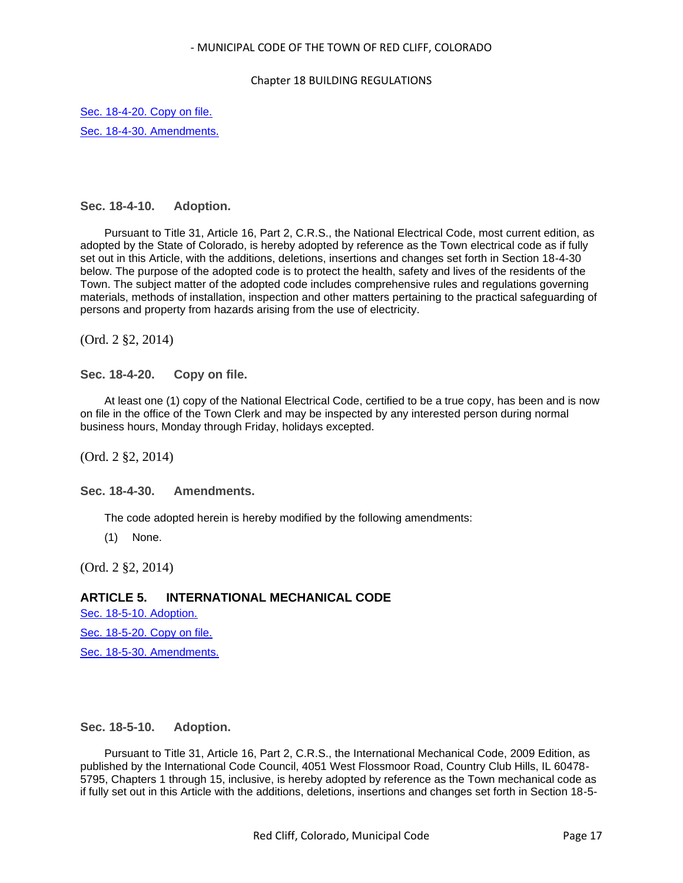#### Chapter 18 BUILDING REGULATIONS

[Sec. 18-4-20. Copy on file.](#page-16-1) [Sec. 18-4-30. Amendments.](#page-16-2)

## <span id="page-16-0"></span>**Sec. 18-4-10. Adoption.**

Pursuant to Title 31, Article 16, Part 2, C.R.S., the National Electrical Code, most current edition, as adopted by the State of Colorado, is hereby adopted by reference as the Town electrical code as if fully set out in this Article, with the additions, deletions, insertions and changes set forth in Section 18-4-30 below. The purpose of the adopted code is to protect the health, safety and lives of the residents of the Town. The subject matter of the adopted code includes comprehensive rules and regulations governing materials, methods of installation, inspection and other matters pertaining to the practical safeguarding of persons and property from hazards arising from the use of electricity.

(Ord. 2 §2, 2014)

<span id="page-16-1"></span>**Sec. 18-4-20. Copy on file.**

At least one (1) copy of the National Electrical Code, certified to be a true copy, has been and is now on file in the office of the Town Clerk and may be inspected by any interested person during normal business hours, Monday through Friday, holidays excepted.

(Ord. 2 §2, 2014)

<span id="page-16-2"></span>**Sec. 18-4-30. Amendments.**

The code adopted herein is hereby modified by the following amendments:

(1) None.

(Ord. 2 §2, 2014)

## **ARTICLE 5. INTERNATIONAL MECHANICAL CODE**

[Sec. 18-5-10. Adoption.](#page-16-3) [Sec. 18-5-20. Copy on file.](#page-17-0) [Sec. 18-5-30. Amendments.](#page-17-1)

## <span id="page-16-3"></span>**Sec. 18-5-10. Adoption.**

Pursuant to Title 31, Article 16, Part 2, C.R.S., the International Mechanical Code, 2009 Edition, as published by the International Code Council, 4051 West Flossmoor Road, Country Club Hills, IL 60478- 5795, Chapters 1 through 15, inclusive, is hereby adopted by reference as the Town mechanical code as if fully set out in this Article with the additions, deletions, insertions and changes set forth in Section 18-5-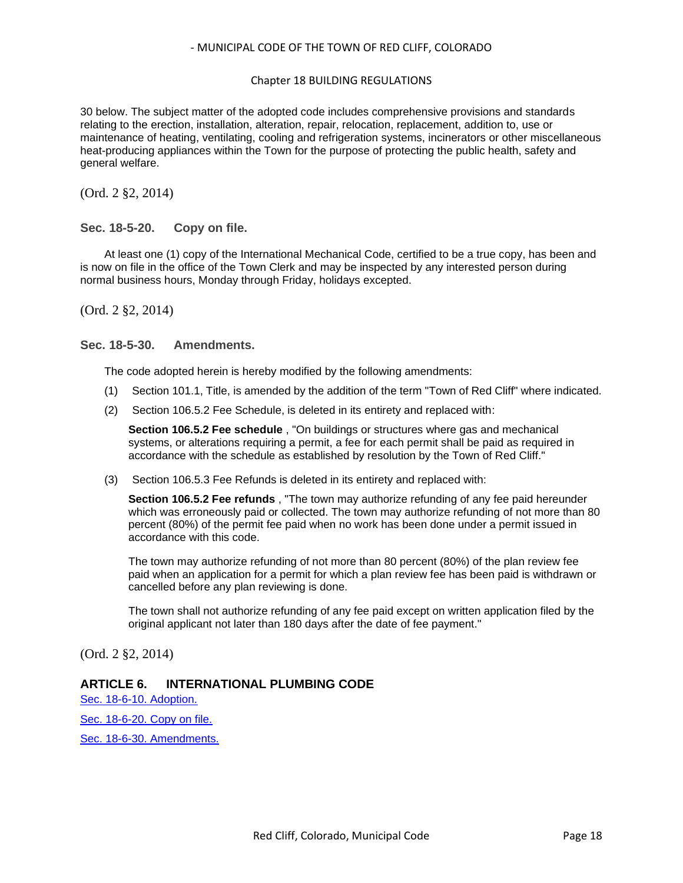#### Chapter 18 BUILDING REGULATIONS

30 below. The subject matter of the adopted code includes comprehensive provisions and standards relating to the erection, installation, alteration, repair, relocation, replacement, addition to, use or maintenance of heating, ventilating, cooling and refrigeration systems, incinerators or other miscellaneous heat-producing appliances within the Town for the purpose of protecting the public health, safety and general welfare.

(Ord. 2 §2, 2014)

## <span id="page-17-0"></span>**Sec. 18-5-20. Copy on file.**

At least one (1) copy of the International Mechanical Code, certified to be a true copy, has been and is now on file in the office of the Town Clerk and may be inspected by any interested person during normal business hours, Monday through Friday, holidays excepted.

(Ord. 2 §2, 2014)

### <span id="page-17-1"></span>**Sec. 18-5-30. Amendments.**

The code adopted herein is hereby modified by the following amendments:

- (1) Section 101.1, Title, is amended by the addition of the term "Town of Red Cliff" where indicated.
- (2) Section 106.5.2 Fee Schedule, is deleted in its entirety and replaced with:

**Section 106.5.2 Fee schedule** , "On buildings or structures where gas and mechanical systems, or alterations requiring a permit, a fee for each permit shall be paid as required in accordance with the schedule as established by resolution by the Town of Red Cliff."

(3) Section 106.5.3 Fee Refunds is deleted in its entirety and replaced with:

**Section 106.5.2 Fee refunds** , "The town may authorize refunding of any fee paid hereunder which was erroneously paid or collected. The town may authorize refunding of not more than 80 percent (80%) of the permit fee paid when no work has been done under a permit issued in accordance with this code.

The town may authorize refunding of not more than 80 percent (80%) of the plan review fee paid when an application for a permit for which a plan review fee has been paid is withdrawn or cancelled before any plan reviewing is done.

The town shall not authorize refunding of any fee paid except on written application filed by the original applicant not later than 180 days after the date of fee payment."

(Ord. 2 §2, 2014)

## **ARTICLE 6. INTERNATIONAL PLUMBING CODE**

[Sec. 18-6-10. Adoption.](#page-18-0)

[Sec. 18-6-20. Copy on file.](#page-18-1)

[Sec. 18-6-30. Amendments.](#page-18-2)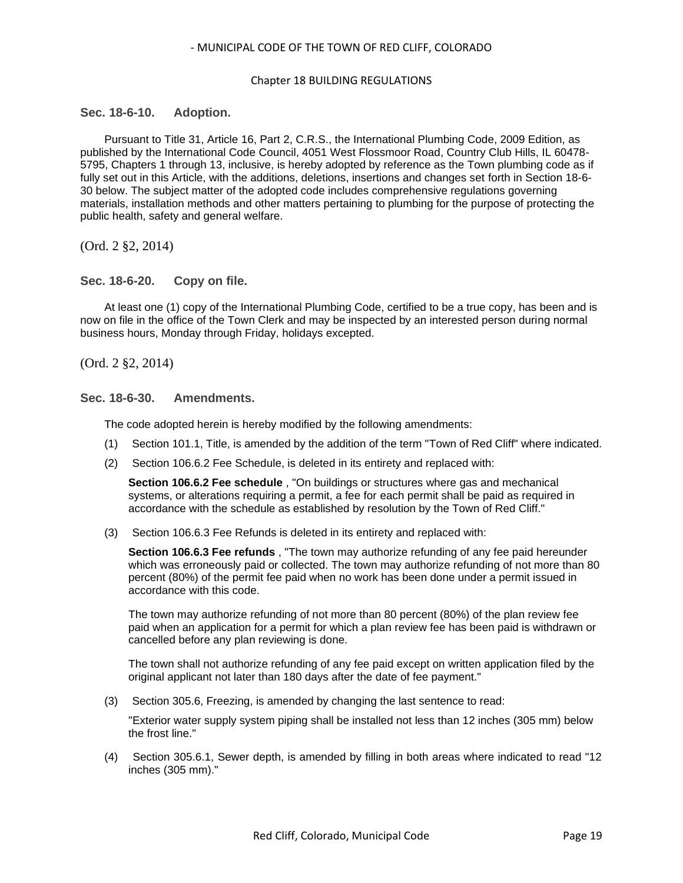#### Chapter 18 BUILDING REGULATIONS

### <span id="page-18-0"></span>**Sec. 18-6-10. Adoption.**

Pursuant to Title 31, Article 16, Part 2, C.R.S., the International Plumbing Code, 2009 Edition, as published by the International Code Council, 4051 West Flossmoor Road, Country Club Hills, IL 60478- 5795, Chapters 1 through 13, inclusive, is hereby adopted by reference as the Town plumbing code as if fully set out in this Article, with the additions, deletions, insertions and changes set forth in Section 18-6- 30 below. The subject matter of the adopted code includes comprehensive regulations governing materials, installation methods and other matters pertaining to plumbing for the purpose of protecting the public health, safety and general welfare.

(Ord. 2 §2, 2014)

<span id="page-18-1"></span>**Sec. 18-6-20. Copy on file.**

At least one (1) copy of the International Plumbing Code, certified to be a true copy, has been and is now on file in the office of the Town Clerk and may be inspected by an interested person during normal business hours, Monday through Friday, holidays excepted.

(Ord. 2 §2, 2014)

<span id="page-18-2"></span>**Sec. 18-6-30. Amendments.**

The code adopted herein is hereby modified by the following amendments:

- (1) Section 101.1, Title, is amended by the addition of the term "Town of Red Cliff" where indicated.
- (2) Section 106.6.2 Fee Schedule, is deleted in its entirety and replaced with:

**Section 106.6.2 Fee schedule** , "On buildings or structures where gas and mechanical systems, or alterations requiring a permit, a fee for each permit shall be paid as required in accordance with the schedule as established by resolution by the Town of Red Cliff."

(3) Section 106.6.3 Fee Refunds is deleted in its entirety and replaced with:

**Section 106.6.3 Fee refunds** , "The town may authorize refunding of any fee paid hereunder which was erroneously paid or collected. The town may authorize refunding of not more than 80 percent (80%) of the permit fee paid when no work has been done under a permit issued in accordance with this code.

The town may authorize refunding of not more than 80 percent (80%) of the plan review fee paid when an application for a permit for which a plan review fee has been paid is withdrawn or cancelled before any plan reviewing is done.

The town shall not authorize refunding of any fee paid except on written application filed by the original applicant not later than 180 days after the date of fee payment."

(3) Section 305.6, Freezing, is amended by changing the last sentence to read:

"Exterior water supply system piping shall be installed not less than 12 inches (305 mm) below the frost line."

(4) Section 305.6.1, Sewer depth, is amended by filling in both areas where indicated to read "12 inches (305 mm)."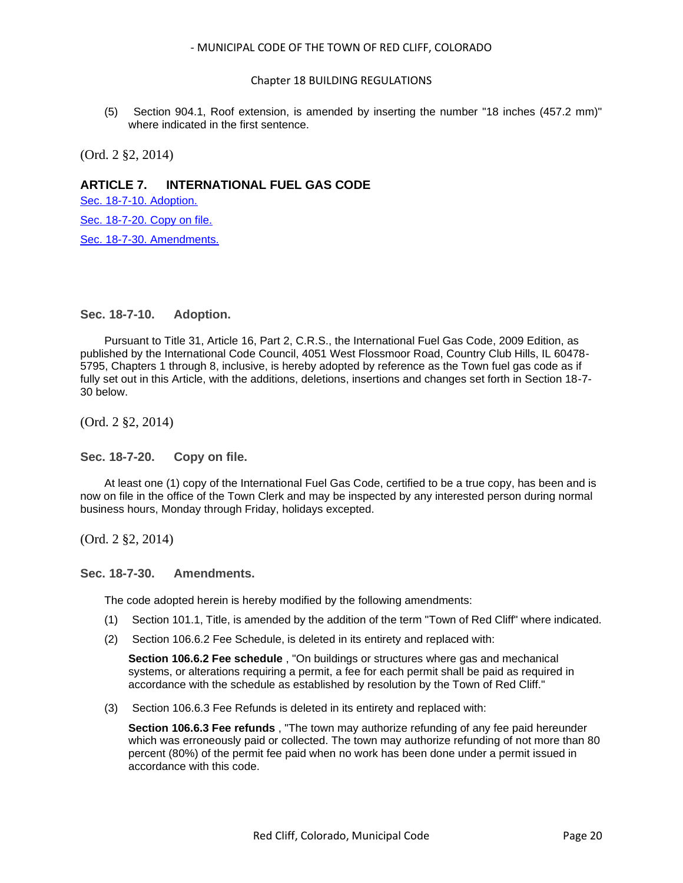#### Chapter 18 BUILDING REGULATIONS

(5) Section 904.1, Roof extension, is amended by inserting the number "18 inches (457.2 mm)" where indicated in the first sentence.

(Ord. 2 §2, 2014)

## **ARTICLE 7. INTERNATIONAL FUEL GAS CODE**

[Sec. 18-7-10. Adoption.](#page-19-0)

[Sec. 18-7-20. Copy on file.](#page-19-1)

[Sec. 18-7-30. Amendments.](#page-19-2)

### <span id="page-19-0"></span>**Sec. 18-7-10. Adoption.**

Pursuant to Title 31, Article 16, Part 2, C.R.S., the International Fuel Gas Code, 2009 Edition, as published by the International Code Council, 4051 West Flossmoor Road, Country Club Hills, IL 60478- 5795, Chapters 1 through 8, inclusive, is hereby adopted by reference as the Town fuel gas code as if fully set out in this Article, with the additions, deletions, insertions and changes set forth in Section 18-7- 30 below.

(Ord. 2 §2, 2014)

<span id="page-19-1"></span>**Sec. 18-7-20. Copy on file.**

At least one (1) copy of the International Fuel Gas Code, certified to be a true copy, has been and is now on file in the office of the Town Clerk and may be inspected by any interested person during normal business hours, Monday through Friday, holidays excepted.

(Ord. 2 §2, 2014)

<span id="page-19-2"></span>**Sec. 18-7-30. Amendments.**

The code adopted herein is hereby modified by the following amendments:

- (1) Section 101.1, Title, is amended by the addition of the term "Town of Red Cliff" where indicated.
- (2) Section 106.6.2 Fee Schedule, is deleted in its entirety and replaced with:

**Section 106.6.2 Fee schedule** , "On buildings or structures where gas and mechanical systems, or alterations requiring a permit, a fee for each permit shall be paid as required in accordance with the schedule as established by resolution by the Town of Red Cliff."

(3) Section 106.6.3 Fee Refunds is deleted in its entirety and replaced with:

**Section 106.6.3 Fee refunds** , "The town may authorize refunding of any fee paid hereunder which was erroneously paid or collected. The town may authorize refunding of not more than 80 percent (80%) of the permit fee paid when no work has been done under a permit issued in accordance with this code.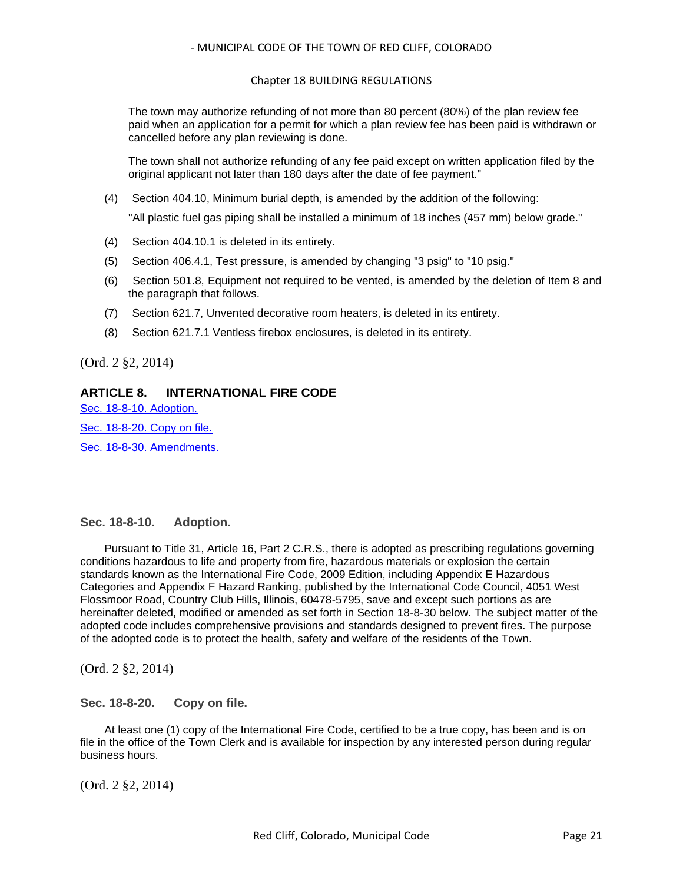#### Chapter 18 BUILDING REGULATIONS

The town may authorize refunding of not more than 80 percent (80%) of the plan review fee paid when an application for a permit for which a plan review fee has been paid is withdrawn or cancelled before any plan reviewing is done.

The town shall not authorize refunding of any fee paid except on written application filed by the original applicant not later than 180 days after the date of fee payment."

(4) Section 404.10, Minimum burial depth, is amended by the addition of the following:

"All plastic fuel gas piping shall be installed a minimum of 18 inches (457 mm) below grade."

- (4) Section 404.10.1 is deleted in its entirety.
- (5) Section 406.4.1, Test pressure, is amended by changing "3 psig" to "10 psig."
- (6) Section 501.8, Equipment not required to be vented, is amended by the deletion of Item 8 and the paragraph that follows.
- (7) Section 621.7, Unvented decorative room heaters, is deleted in its entirety.
- (8) Section 621.7.1 Ventless firebox enclosures, is deleted in its entirety.

(Ord. 2 §2, 2014)

## **ARTICLE 8. INTERNATIONAL FIRE CODE**

[Sec. 18-8-10. Adoption.](#page-20-0) [Sec. 18-8-20. Copy on file.](#page-20-1)

[Sec. 18-8-30. Amendments.](#page-21-0)

## <span id="page-20-0"></span>**Sec. 18-8-10. Adoption.**

Pursuant to Title 31, Article 16, Part 2 C.R.S., there is adopted as prescribing regulations governing conditions hazardous to life and property from fire, hazardous materials or explosion the certain standards known as the International Fire Code, 2009 Edition, including Appendix E Hazardous Categories and Appendix F Hazard Ranking, published by the International Code Council, 4051 West Flossmoor Road, Country Club Hills, Illinois, 60478-5795, save and except such portions as are hereinafter deleted, modified or amended as set forth in Section 18-8-30 below. The subject matter of the adopted code includes comprehensive provisions and standards designed to prevent fires. The purpose of the adopted code is to protect the health, safety and welfare of the residents of the Town.

(Ord. 2 §2, 2014)

<span id="page-20-1"></span>**Sec. 18-8-20. Copy on file.**

At least one (1) copy of the International Fire Code, certified to be a true copy, has been and is on file in the office of the Town Clerk and is available for inspection by any interested person during regular business hours.

(Ord. 2 §2, 2014)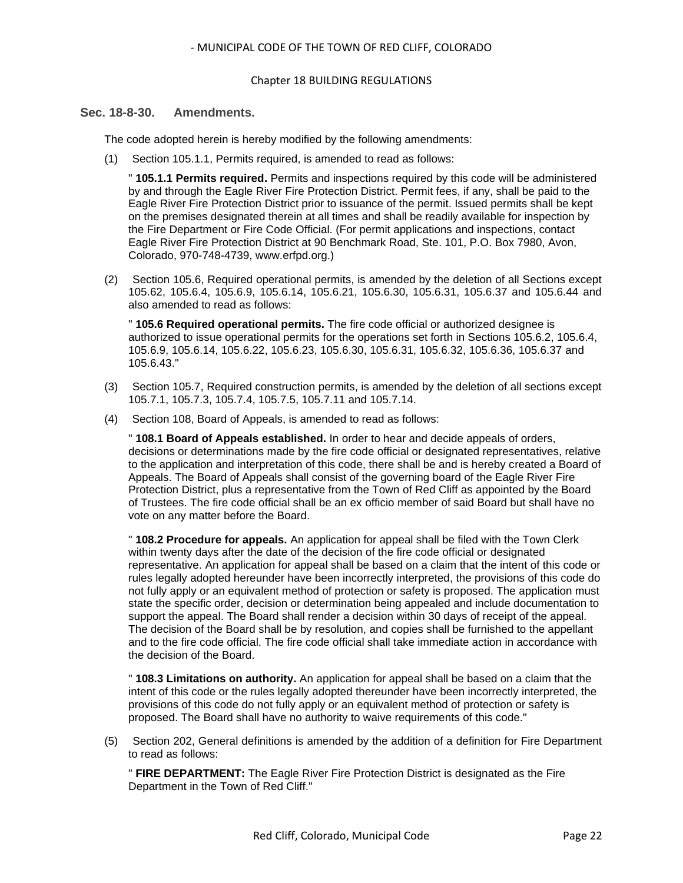#### Chapter 18 BUILDING REGULATIONS

#### <span id="page-21-0"></span>**Sec. 18-8-30. Amendments.**

The code adopted herein is hereby modified by the following amendments:

(1) Section 105.1.1, Permits required, is amended to read as follows:

" **105.1.1 Permits required.** Permits and inspections required by this code will be administered by and through the Eagle River Fire Protection District. Permit fees, if any, shall be paid to the Eagle River Fire Protection District prior to issuance of the permit. Issued permits shall be kept on the premises designated therein at all times and shall be readily available for inspection by the Fire Department or Fire Code Official. (For permit applications and inspections, contact Eagle River Fire Protection District at 90 Benchmark Road, Ste. 101, P.O. Box 7980, Avon, Colorado, 970-748-4739, www.erfpd.org.)

(2) Section 105.6, Required operational permits, is amended by the deletion of all Sections except 105.62, 105.6.4, 105.6.9, 105.6.14, 105.6.21, 105.6.30, 105.6.31, 105.6.37 and 105.6.44 and also amended to read as follows:

" **105.6 Required operational permits.** The fire code official or authorized designee is authorized to issue operational permits for the operations set forth in Sections 105.6.2, 105.6.4, 105.6.9, 105.6.14, 105.6.22, 105.6.23, 105.6.30, 105.6.31, 105.6.32, 105.6.36, 105.6.37 and 105.6.43."

- (3) Section 105.7, Required construction permits, is amended by the deletion of all sections except 105.7.1, 105.7.3, 105.7.4, 105.7.5, 105.7.11 and 105.7.14.
- (4) Section 108, Board of Appeals, is amended to read as follows:

" **108.1 Board of Appeals established.** In order to hear and decide appeals of orders, decisions or determinations made by the fire code official or designated representatives, relative to the application and interpretation of this code, there shall be and is hereby created a Board of Appeals. The Board of Appeals shall consist of the governing board of the Eagle River Fire Protection District, plus a representative from the Town of Red Cliff as appointed by the Board of Trustees. The fire code official shall be an ex officio member of said Board but shall have no vote on any matter before the Board.

" **108.2 Procedure for appeals.** An application for appeal shall be filed with the Town Clerk within twenty days after the date of the decision of the fire code official or designated representative. An application for appeal shall be based on a claim that the intent of this code or rules legally adopted hereunder have been incorrectly interpreted, the provisions of this code do not fully apply or an equivalent method of protection or safety is proposed. The application must state the specific order, decision or determination being appealed and include documentation to support the appeal. The Board shall render a decision within 30 days of receipt of the appeal. The decision of the Board shall be by resolution, and copies shall be furnished to the appellant and to the fire code official. The fire code official shall take immediate action in accordance with the decision of the Board.

" **108.3 Limitations on authority.** An application for appeal shall be based on a claim that the intent of this code or the rules legally adopted thereunder have been incorrectly interpreted, the provisions of this code do not fully apply or an equivalent method of protection or safety is proposed. The Board shall have no authority to waive requirements of this code."

(5) Section 202, General definitions is amended by the addition of a definition for Fire Department to read as follows:

" **FIRE DEPARTMENT:** The Eagle River Fire Protection District is designated as the Fire Department in the Town of Red Cliff."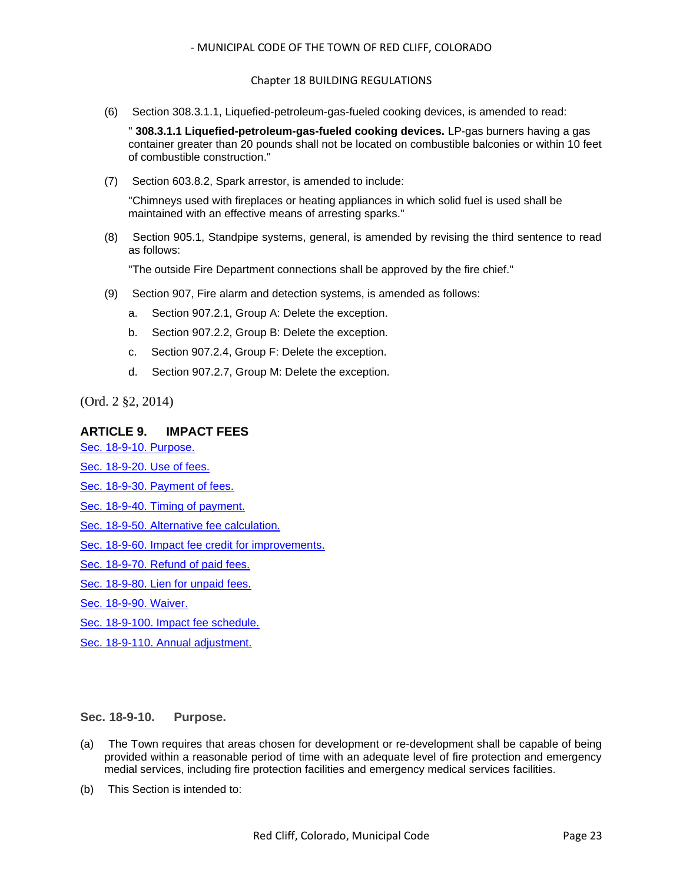#### Chapter 18 BUILDING REGULATIONS

(6) Section 308.3.1.1, Liquefied-petroleum-gas-fueled cooking devices, is amended to read:

" **308.3.1.1 Liquefied-petroleum-gas-fueled cooking devices.** LP-gas burners having a gas container greater than 20 pounds shall not be located on combustible balconies or within 10 feet of combustible construction."

(7) Section 603.8.2, Spark arrestor, is amended to include:

"Chimneys used with fireplaces or heating appliances in which solid fuel is used shall be maintained with an effective means of arresting sparks."

(8) Section 905.1, Standpipe systems, general, is amended by revising the third sentence to read as follows:

"The outside Fire Department connections shall be approved by the fire chief."

- (9) Section 907, Fire alarm and detection systems, is amended as follows:
	- a. Section 907.2.1, Group A: Delete the exception.
	- b. Section 907.2.2, Group B: Delete the exception.
	- c. Section 907.2.4, Group F: Delete the exception.
	- d. Section 907.2.7, Group M: Delete the exception.

(Ord. 2 §2, 2014)

#### **ARTICLE 9. IMPACT FEES**

[Sec. 18-9-10. Purpose.](#page-22-0)

[Sec. 18-9-20. Use of fees.](#page-23-0)

[Sec. 18-9-30. Payment of fees.](#page-24-0)

- [Sec. 18-9-40. Timing of payment.](#page-24-1)
- [Sec. 18-9-50. Alternative fee calculation.](#page-24-2)
- [Sec. 18-9-60. Impact fee credit for improvements.](#page-25-0)

[Sec. 18-9-70. Refund of paid fees.](#page-25-1)

[Sec. 18-9-80. Lien for unpaid fees.](#page-25-2)

[Sec. 18-9-90. Waiver.](#page-26-0)

[Sec. 18-9-100. Impact fee schedule.](#page-26-1)

[Sec. 18-9-110. Annual adjustment.](#page-27-0)

### <span id="page-22-0"></span>**Sec. 18-9-10. Purpose.**

- (a) The Town requires that areas chosen for development or re-development shall be capable of being provided within a reasonable period of time with an adequate level of fire protection and emergency medial services, including fire protection facilities and emergency medical services facilities.
- (b) This Section is intended to: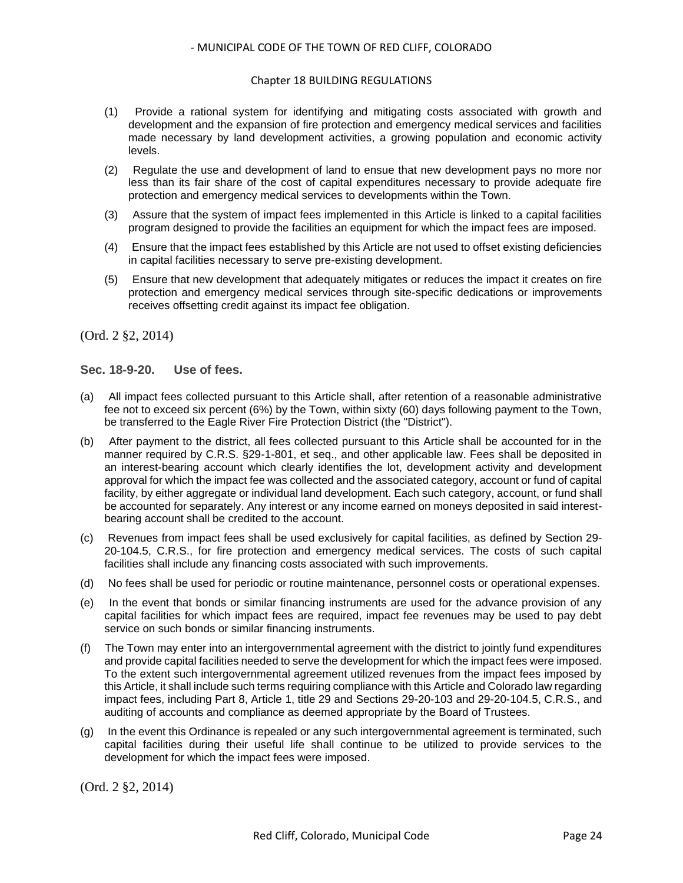#### Chapter 18 BUILDING REGULATIONS

- (1) Provide a rational system for identifying and mitigating costs associated with growth and development and the expansion of fire protection and emergency medical services and facilities made necessary by land development activities, a growing population and economic activity levels.
- (2) Regulate the use and development of land to ensue that new development pays no more nor less than its fair share of the cost of capital expenditures necessary to provide adequate fire protection and emergency medical services to developments within the Town.
- (3) Assure that the system of impact fees implemented in this Article is linked to a capital facilities program designed to provide the facilities an equipment for which the impact fees are imposed.
- (4) Ensure that the impact fees established by this Article are not used to offset existing deficiencies in capital facilities necessary to serve pre-existing development.
- (5) Ensure that new development that adequately mitigates or reduces the impact it creates on fire protection and emergency medical services through site-specific dedications or improvements receives offsetting credit against its impact fee obligation.

(Ord. 2 §2, 2014)

### <span id="page-23-0"></span>**Sec. 18-9-20. Use of fees.**

- (a) All impact fees collected pursuant to this Article shall, after retention of a reasonable administrative fee not to exceed six percent (6%) by the Town, within sixty (60) days following payment to the Town, be transferred to the Eagle River Fire Protection District (the "District").
- (b) After payment to the district, all fees collected pursuant to this Article shall be accounted for in the manner required by C.R.S. §29-1-801, et seq., and other applicable law. Fees shall be deposited in an interest-bearing account which clearly identifies the lot, development activity and development approval for which the impact fee was collected and the associated category, account or fund of capital facility, by either aggregate or individual land development. Each such category, account, or fund shall be accounted for separately. Any interest or any income earned on moneys deposited in said interestbearing account shall be credited to the account.
- (c) Revenues from impact fees shall be used exclusively for capital facilities, as defined by Section 29- 20-104.5, C.R.S., for fire protection and emergency medical services. The costs of such capital facilities shall include any financing costs associated with such improvements.
- (d) No fees shall be used for periodic or routine maintenance, personnel costs or operational expenses.
- (e) In the event that bonds or similar financing instruments are used for the advance provision of any capital facilities for which impact fees are required, impact fee revenues may be used to pay debt service on such bonds or similar financing instruments.
- (f) The Town may enter into an intergovernmental agreement with the district to jointly fund expenditures and provide capital facilities needed to serve the development for which the impact fees were imposed. To the extent such intergovernmental agreement utilized revenues from the impact fees imposed by this Article, it shall include such terms requiring compliance with this Article and Colorado law regarding impact fees, including Part 8, Article 1, title 29 and Sections 29-20-103 and 29-20-104.5, C.R.S., and auditing of accounts and compliance as deemed appropriate by the Board of Trustees.
- (g) In the event this Ordinance is repealed or any such intergovernmental agreement is terminated, such capital facilities during their useful life shall continue to be utilized to provide services to the development for which the impact fees were imposed.

(Ord. 2 §2, 2014)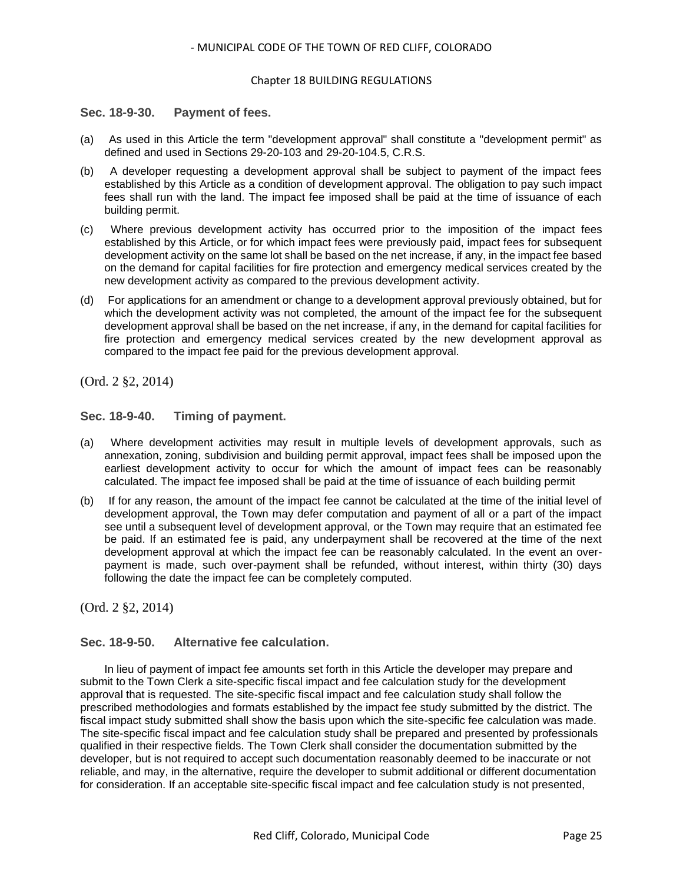#### Chapter 18 BUILDING REGULATIONS

#### <span id="page-24-0"></span>**Sec. 18-9-30. Payment of fees.**

- (a) As used in this Article the term "development approval" shall constitute a "development permit" as defined and used in Sections 29-20-103 and 29-20-104.5, C.R.S.
- (b) A developer requesting a development approval shall be subject to payment of the impact fees established by this Article as a condition of development approval. The obligation to pay such impact fees shall run with the land. The impact fee imposed shall be paid at the time of issuance of each building permit.
- (c) Where previous development activity has occurred prior to the imposition of the impact fees established by this Article, or for which impact fees were previously paid, impact fees for subsequent development activity on the same lot shall be based on the net increase, if any, in the impact fee based on the demand for capital facilities for fire protection and emergency medical services created by the new development activity as compared to the previous development activity.
- (d) For applications for an amendment or change to a development approval previously obtained, but for which the development activity was not completed, the amount of the impact fee for the subsequent development approval shall be based on the net increase, if any, in the demand for capital facilities for fire protection and emergency medical services created by the new development approval as compared to the impact fee paid for the previous development approval.

(Ord. 2 §2, 2014)

### <span id="page-24-1"></span>**Sec. 18-9-40. Timing of payment.**

- (a) Where development activities may result in multiple levels of development approvals, such as annexation, zoning, subdivision and building permit approval, impact fees shall be imposed upon the earliest development activity to occur for which the amount of impact fees can be reasonably calculated. The impact fee imposed shall be paid at the time of issuance of each building permit
- (b) If for any reason, the amount of the impact fee cannot be calculated at the time of the initial level of development approval, the Town may defer computation and payment of all or a part of the impact see until a subsequent level of development approval, or the Town may require that an estimated fee be paid. If an estimated fee is paid, any underpayment shall be recovered at the time of the next development approval at which the impact fee can be reasonably calculated. In the event an overpayment is made, such over-payment shall be refunded, without interest, within thirty (30) days following the date the impact fee can be completely computed.

(Ord. 2 §2, 2014)

## <span id="page-24-2"></span>**Sec. 18-9-50. Alternative fee calculation.**

In lieu of payment of impact fee amounts set forth in this Article the developer may prepare and submit to the Town Clerk a site-specific fiscal impact and fee calculation study for the development approval that is requested. The site-specific fiscal impact and fee calculation study shall follow the prescribed methodologies and formats established by the impact fee study submitted by the district. The fiscal impact study submitted shall show the basis upon which the site-specific fee calculation was made. The site-specific fiscal impact and fee calculation study shall be prepared and presented by professionals qualified in their respective fields. The Town Clerk shall consider the documentation submitted by the developer, but is not required to accept such documentation reasonably deemed to be inaccurate or not reliable, and may, in the alternative, require the developer to submit additional or different documentation for consideration. If an acceptable site-specific fiscal impact and fee calculation study is not presented,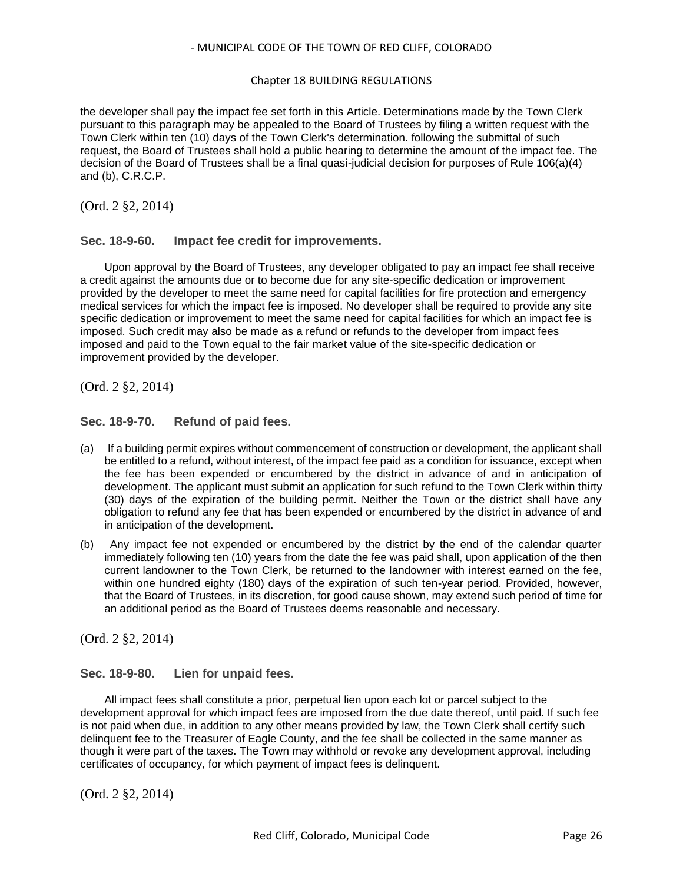#### Chapter 18 BUILDING REGULATIONS

the developer shall pay the impact fee set forth in this Article. Determinations made by the Town Clerk pursuant to this paragraph may be appealed to the Board of Trustees by filing a written request with the Town Clerk within ten (10) days of the Town Clerk's determination. following the submittal of such request, the Board of Trustees shall hold a public hearing to determine the amount of the impact fee. The decision of the Board of Trustees shall be a final quasi-judicial decision for purposes of Rule 106(a)(4) and (b), C.R.C.P.

(Ord. 2 §2, 2014)

## <span id="page-25-0"></span>**Sec. 18-9-60. Impact fee credit for improvements.**

Upon approval by the Board of Trustees, any developer obligated to pay an impact fee shall receive a credit against the amounts due or to become due for any site-specific dedication or improvement provided by the developer to meet the same need for capital facilities for fire protection and emergency medical services for which the impact fee is imposed. No developer shall be required to provide any site specific dedication or improvement to meet the same need for capital facilities for which an impact fee is imposed. Such credit may also be made as a refund or refunds to the developer from impact fees imposed and paid to the Town equal to the fair market value of the site-specific dedication or improvement provided by the developer.

(Ord. 2 §2, 2014)

## <span id="page-25-1"></span>**Sec. 18-9-70. Refund of paid fees.**

- (a) If a building permit expires without commencement of construction or development, the applicant shall be entitled to a refund, without interest, of the impact fee paid as a condition for issuance, except when the fee has been expended or encumbered by the district in advance of and in anticipation of development. The applicant must submit an application for such refund to the Town Clerk within thirty (30) days of the expiration of the building permit. Neither the Town or the district shall have any obligation to refund any fee that has been expended or encumbered by the district in advance of and in anticipation of the development.
- (b) Any impact fee not expended or encumbered by the district by the end of the calendar quarter immediately following ten (10) years from the date the fee was paid shall, upon application of the then current landowner to the Town Clerk, be returned to the landowner with interest earned on the fee, within one hundred eighty (180) days of the expiration of such ten-year period. Provided, however, that the Board of Trustees, in its discretion, for good cause shown, may extend such period of time for an additional period as the Board of Trustees deems reasonable and necessary.

(Ord. 2 §2, 2014)

## <span id="page-25-2"></span>**Sec. 18-9-80. Lien for unpaid fees.**

All impact fees shall constitute a prior, perpetual lien upon each lot or parcel subject to the development approval for which impact fees are imposed from the due date thereof, until paid. If such fee is not paid when due, in addition to any other means provided by law, the Town Clerk shall certify such delinquent fee to the Treasurer of Eagle County, and the fee shall be collected in the same manner as though it were part of the taxes. The Town may withhold or revoke any development approval, including certificates of occupancy, for which payment of impact fees is delinquent.

(Ord. 2 §2, 2014)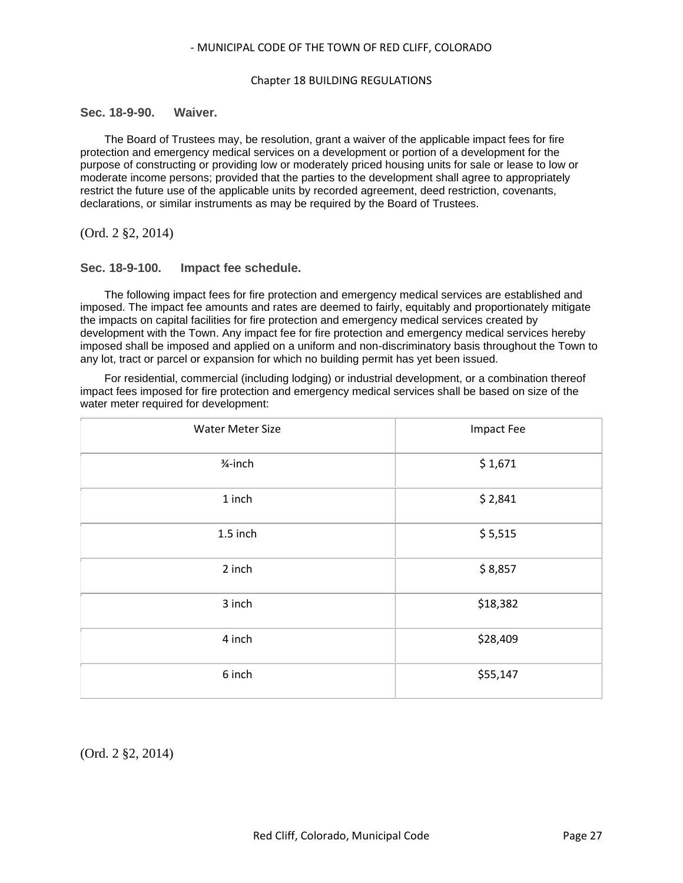#### Chapter 18 BUILDING REGULATIONS

### <span id="page-26-0"></span>**Sec. 18-9-90. Waiver.**

The Board of Trustees may, be resolution, grant a waiver of the applicable impact fees for fire protection and emergency medical services on a development or portion of a development for the purpose of constructing or providing low or moderately priced housing units for sale or lease to low or moderate income persons; provided that the parties to the development shall agree to appropriately restrict the future use of the applicable units by recorded agreement, deed restriction, covenants, declarations, or similar instruments as may be required by the Board of Trustees.

(Ord. 2 §2, 2014)

### <span id="page-26-1"></span>**Sec. 18-9-100. Impact fee schedule.**

The following impact fees for fire protection and emergency medical services are established and imposed. The impact fee amounts and rates are deemed to fairly, equitably and proportionately mitigate the impacts on capital facilities for fire protection and emergency medical services created by development with the Town. Any impact fee for fire protection and emergency medical services hereby imposed shall be imposed and applied on a uniform and non-discriminatory basis throughout the Town to any lot, tract or parcel or expansion for which no building permit has yet been issued.

For residential, commercial (including lodging) or industrial development, or a combination thereof impact fees imposed for fire protection and emergency medical services shall be based on size of the water meter required for development:

| <b>Water Meter Size</b> | Impact Fee |  |  |  |
|-------------------------|------------|--|--|--|
| $3/4$ -inch             | \$1,671    |  |  |  |
| 1 inch                  | \$2,841    |  |  |  |
| 1.5 inch                | \$5,515    |  |  |  |
| 2 inch                  | \$8,857    |  |  |  |
| 3 inch                  | \$18,382   |  |  |  |
| 4 inch                  | \$28,409   |  |  |  |
| 6 inch                  | \$55,147   |  |  |  |

(Ord. 2 §2, 2014)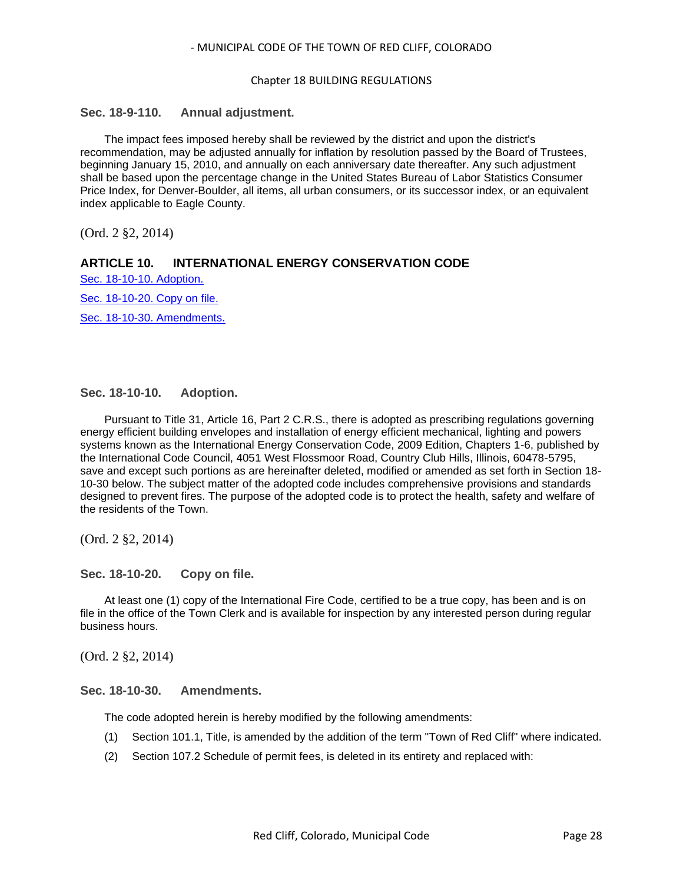#### Chapter 18 BUILDING REGULATIONS

## <span id="page-27-0"></span>**Sec. 18-9-110. Annual adjustment.**

The impact fees imposed hereby shall be reviewed by the district and upon the district's recommendation, may be adjusted annually for inflation by resolution passed by the Board of Trustees, beginning January 15, 2010, and annually on each anniversary date thereafter. Any such adjustment shall be based upon the percentage change in the United States Bureau of Labor Statistics Consumer Price Index, for Denver-Boulder, all items, all urban consumers, or its successor index, or an equivalent index applicable to Eagle County.

(Ord. 2 §2, 2014)

### **ARTICLE 10. INTERNATIONAL ENERGY CONSERVATION CODE**

[Sec. 18-10-10. Adoption.](#page-27-1)

[Sec. 18-10-20. Copy on file.](#page-27-2)

[Sec. 18-10-30. Amendments.](#page-27-3)

### <span id="page-27-1"></span>**Sec. 18-10-10. Adoption.**

Pursuant to Title 31, Article 16, Part 2 C.R.S., there is adopted as prescribing regulations governing energy efficient building envelopes and installation of energy efficient mechanical, lighting and powers systems known as the International Energy Conservation Code, 2009 Edition, Chapters 1-6, published by the International Code Council, 4051 West Flossmoor Road, Country Club Hills, Illinois, 60478-5795, save and except such portions as are hereinafter deleted, modified or amended as set forth in Section 18- 10-30 below. The subject matter of the adopted code includes comprehensive provisions and standards designed to prevent fires. The purpose of the adopted code is to protect the health, safety and welfare of the residents of the Town.

(Ord. 2 §2, 2014)

<span id="page-27-2"></span>**Sec. 18-10-20. Copy on file.**

At least one (1) copy of the International Fire Code, certified to be a true copy, has been and is on file in the office of the Town Clerk and is available for inspection by any interested person during regular business hours.

(Ord. 2 §2, 2014)

#### <span id="page-27-3"></span>**Sec. 18-10-30. Amendments.**

The code adopted herein is hereby modified by the following amendments:

- (1) Section 101.1, Title, is amended by the addition of the term "Town of Red Cliff" where indicated.
- (2) Section 107.2 Schedule of permit fees, is deleted in its entirety and replaced with: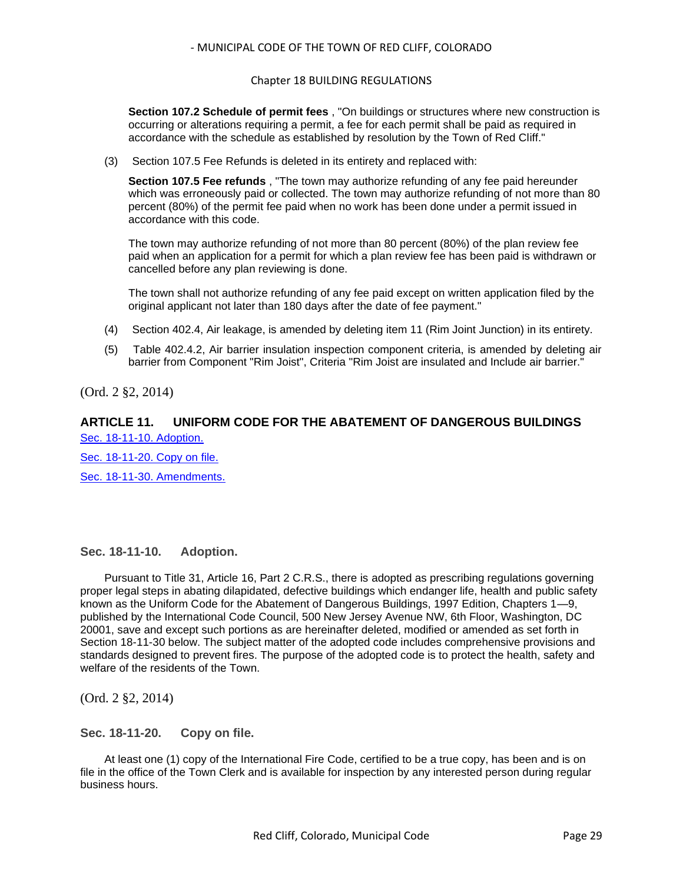#### Chapter 18 BUILDING REGULATIONS

**Section 107.2 Schedule of permit fees** , "On buildings or structures where new construction is occurring or alterations requiring a permit, a fee for each permit shall be paid as required in accordance with the schedule as established by resolution by the Town of Red Cliff."

(3) Section 107.5 Fee Refunds is deleted in its entirety and replaced with:

**Section 107.5 Fee refunds** , "The town may authorize refunding of any fee paid hereunder which was erroneously paid or collected. The town may authorize refunding of not more than 80 percent (80%) of the permit fee paid when no work has been done under a permit issued in accordance with this code.

The town may authorize refunding of not more than 80 percent (80%) of the plan review fee paid when an application for a permit for which a plan review fee has been paid is withdrawn or cancelled before any plan reviewing is done.

The town shall not authorize refunding of any fee paid except on written application filed by the original applicant not later than 180 days after the date of fee payment."

- (4) Section 402.4, Air leakage, is amended by deleting item 11 (Rim Joint Junction) in its entirety.
- (5) Table 402.4.2, Air barrier insulation inspection component criteria, is amended by deleting air barrier from Component "Rim Joist", Criteria "Rim Joist are insulated and Include air barrier."

(Ord. 2 §2, 2014)

## **ARTICLE 11. UNIFORM CODE FOR THE ABATEMENT OF DANGEROUS BUILDINGS** [Sec. 18-11-10. Adoption.](#page-28-0)

[Sec. 18-11-20. Copy on file.](#page-28-1) [Sec. 18-11-30. Amendments.](#page-29-0)

## <span id="page-28-0"></span>**Sec. 18-11-10. Adoption.**

Pursuant to Title 31, Article 16, Part 2 C.R.S., there is adopted as prescribing regulations governing proper legal steps in abating dilapidated, defective buildings which endanger life, health and public safety known as the Uniform Code for the Abatement of Dangerous Buildings, 1997 Edition, Chapters 1—9, published by the International Code Council, 500 New Jersey Avenue NW, 6th Floor, Washington, DC 20001, save and except such portions as are hereinafter deleted, modified or amended as set forth in Section 18-11-30 below. The subject matter of the adopted code includes comprehensive provisions and standards designed to prevent fires. The purpose of the adopted code is to protect the health, safety and welfare of the residents of the Town.

(Ord. 2 §2, 2014)

<span id="page-28-1"></span>**Sec. 18-11-20. Copy on file.**

At least one (1) copy of the International Fire Code, certified to be a true copy, has been and is on file in the office of the Town Clerk and is available for inspection by any interested person during regular business hours.